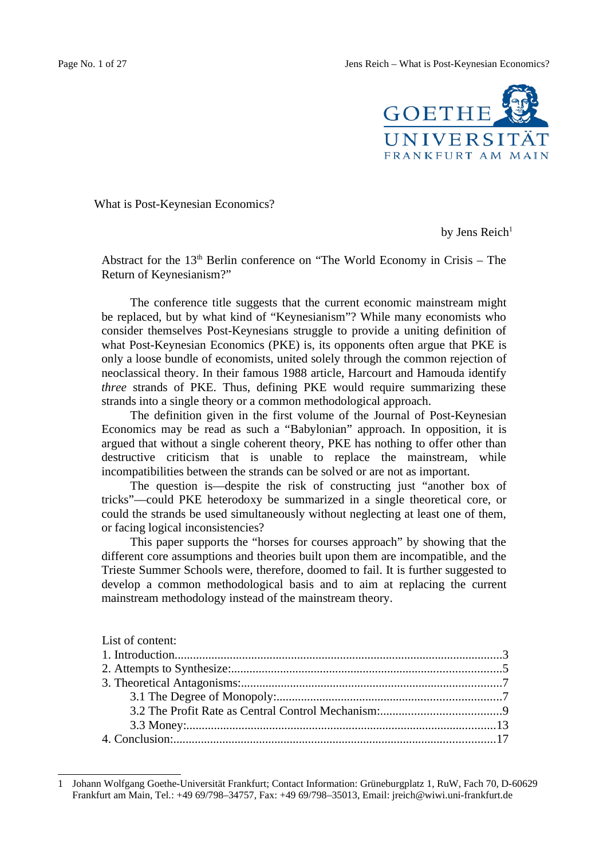Page No. 1 of 27 Jens Reich – What is Post-Keynesian Economics?



What is Post-Keynesian Economics?

by Jens Reich $1$ 

Abstract for the  $13<sup>th</sup>$  Berlin conference on "The World Economy in Crisis – The Return of Keynesianism?"

The conference title suggests that the current economic mainstream might be replaced, but by what kind of "Keynesianism"? While many economists who consider themselves Post-Keynesians struggle to provide a uniting definition of what Post-Keynesian Economics (PKE) is, its opponents often argue that PKE is only a loose bundle of economists, united solely through the common rejection of neoclassical theory. In their famous 1988 article, Harcourt and Hamouda identify *three* strands of PKE. Thus, defining PKE would require summarizing these strands into a single theory or a common methodological approach.

The definition given in the first volume of the Journal of Post-Keynesian Economics may be read as such a "Babylonian" approach. In opposition, it is argued that without a single coherent theory, PKE has nothing to offer other than destructive criticism that is unable to replace the mainstream, while incompatibilities between the strands can be solved or are not as important.

The question is––despite the risk of constructing just "another box of tricks"––could PKE heterodoxy be summarized in a single theoretical core, or could the strands be used simultaneously without neglecting at least one of them, or facing logical inconsistencies?

This paper supports the "horses for courses approach" by showing that the different core assumptions and theories built upon them are incompatible, and the Trieste Summer Schools were, therefore, doomed to fail. It is further suggested to develop a common methodological basis and to aim at replacing the current mainstream methodology instead of the mainstream theory.

<span id="page-0-0"></span><sup>1</sup> Johann Wolfgang Goethe-Universität Frankfurt; Contact Information: Grüneburgplatz 1, RuW, Fach 70, D-60629 Frankfurt am Main, Tel.: +49 69/798–34757, Fax: +49 69/798–35013, Email: jreich@wiwi.uni-frankfurt.de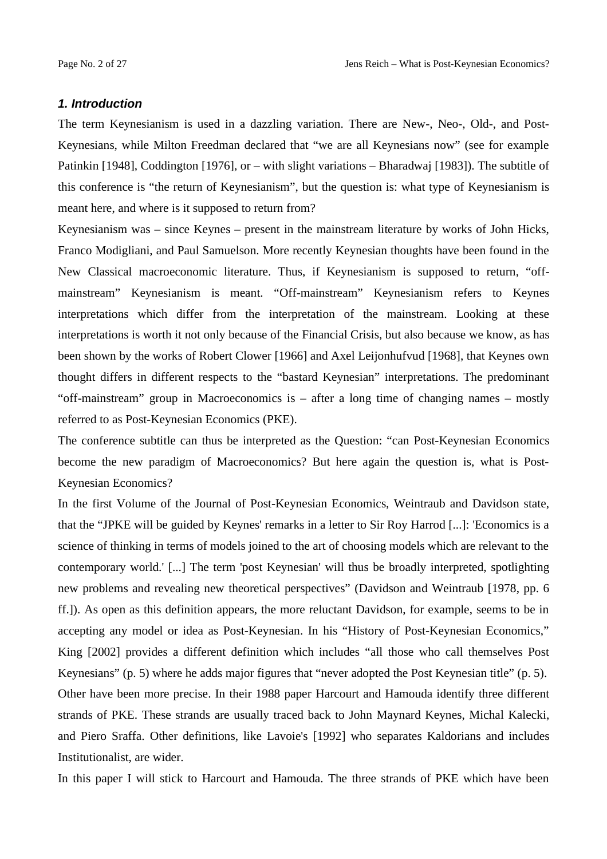### *1. Introduction*

The term Keynesianism is used in a dazzling variation. There are New-, Neo-, Old-, and Post-Keynesians, while Milton Freedman declared that "we are all Keynesians now" (see for example Patinkin [1948], Coddington [1976], or – with slight variations – Bharadwaj [1983]). The subtitle of this conference is "the return of Keynesianism", but the question is: what type of Keynesianism is meant here, and where is it supposed to return from?

Keynesianism was – since Keynes – present in the mainstream literature by works of John Hicks, Franco Modigliani, and Paul Samuelson. More recently Keynesian thoughts have been found in the New Classical macroeconomic literature. Thus, if Keynesianism is supposed to return, "offmainstream" Keynesianism is meant. "Off-mainstream" Keynesianism refers to Keynes interpretations which differ from the interpretation of the mainstream. Looking at these interpretations is worth it not only because of the Financial Crisis, but also because we know, as has been shown by the works of Robert Clower [1966] and Axel Leijonhufvud [1968], that Keynes own thought differs in different respects to the "bastard Keynesian" interpretations. The predominant "off-mainstream" group in Macroeconomics is  $-$  after a long time of changing names  $-$  mostly referred to as Post-Keynesian Economics (PKE).

The conference subtitle can thus be interpreted as the Question: "can Post-Keynesian Economics become the new paradigm of Macroeconomics? But here again the question is, what is Post-Keynesian Economics?

In the first Volume of the Journal of Post-Keynesian Economics, Weintraub and Davidson state, that the "JPKE will be guided by Keynes' remarks in a letter to Sir Roy Harrod [...]: 'Economics is a science of thinking in terms of models joined to the art of choosing models which are relevant to the contemporary world.' [...] The term 'post Keynesian' will thus be broadly interpreted, spotlighting new problems and revealing new theoretical perspectives" (Davidson and Weintraub [1978, pp. 6 ff.]). As open as this definition appears, the more reluctant Davidson, for example, seems to be in accepting any model or idea as Post-Keynesian. In his "History of Post-Keynesian Economics," King [2002] provides a different definition which includes "all those who call themselves Post Keynesians" (p. 5) where he adds major figures that "never adopted the Post Keynesian title" (p. 5). Other have been more precise. In their 1988 paper Harcourt and Hamouda identify three different strands of PKE. These strands are usually traced back to John Maynard Keynes, Michal Kalecki, and Piero Sraffa. Other definitions, like Lavoie's [1992] who separates Kaldorians and includes Institutionalist, are wider.

In this paper I will stick to Harcourt and Hamouda. The three strands of PKE which have been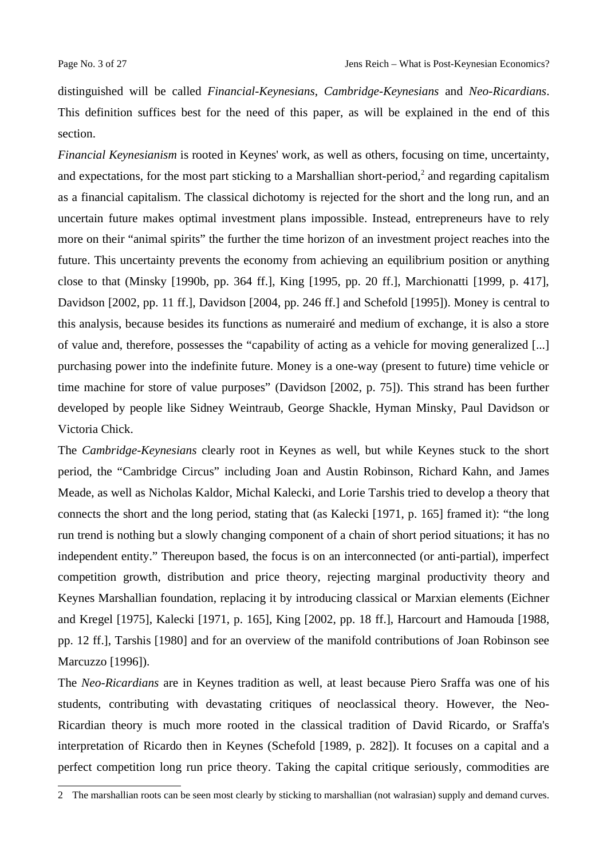distinguished will be called *Financial-Keynesians*, *Cambridge-Keynesians* and *Neo-Ricardians*. This definition suffices best for the need of this paper, as will be explained in the end of this section.

*Financial Keynesianism* is rooted in Keynes' work, as well as others, focusing on time, uncertainty, and expectations, for the most part sticking to a Marshallian short-period,<sup>[2](#page-2-0)</sup> and regarding capitalism as a financial capitalism. The classical dichotomy is rejected for the short and the long run, and an uncertain future makes optimal investment plans impossible. Instead, entrepreneurs have to rely more on their "animal spirits" the further the time horizon of an investment project reaches into the future. This uncertainty prevents the economy from achieving an equilibrium position or anything close to that (Minsky [1990b, pp. 364 ff.], King [1995, pp. 20 ff.], Marchionatti [1999, p. 417], Davidson [2002, pp. 11 ff.], Davidson [2004, pp. 246 ff.] and Schefold [1995]). Money is central to this analysis, because besides its functions as numerairé and medium of exchange, it is also a store of value and, therefore, possesses the "capability of acting as a vehicle for moving generalized [...] purchasing power into the indefinite future. Money is a one-way (present to future) time vehicle or time machine for store of value purposes" (Davidson [2002, p. 75]). This strand has been further developed by people like Sidney Weintraub, George Shackle, Hyman Minsky, Paul Davidson or Victoria Chick.

The *Cambridge-Keynesians* clearly root in Keynes as well, but while Keynes stuck to the short period, the "Cambridge Circus" including Joan and Austin Robinson, Richard Kahn, and James Meade, as well as Nicholas Kaldor, Michal Kalecki, and Lorie Tarshis tried to develop a theory that connects the short and the long period, stating that (as Kalecki [1971, p. 165] framed it): "the long run trend is nothing but a slowly changing component of a chain of short period situations; it has no independent entity." Thereupon based, the focus is on an interconnected (or anti-partial), imperfect competition growth, distribution and price theory, rejecting marginal productivity theory and Keynes Marshallian foundation, replacing it by introducing classical or Marxian elements (Eichner and Kregel [1975], Kalecki [1971, p. 165], King [2002, pp. 18 ff.], Harcourt and Hamouda [1988, pp. 12 ff.], Tarshis [1980] and for an overview of the manifold contributions of Joan Robinson see Marcuzzo [1996]).

The *Neo-Ricardians* are in Keynes tradition as well, at least because Piero Sraffa was one of his students, contributing with devastating critiques of neoclassical theory. However, the Neo-Ricardian theory is much more rooted in the classical tradition of David Ricardo, or Sraffa's interpretation of Ricardo then in Keynes (Schefold [1989, p. 282]). It focuses on a capital and a perfect competition long run price theory. Taking the capital critique seriously, commodities are

<span id="page-2-0"></span><sup>2</sup> The marshallian roots can be seen most clearly by sticking to marshallian (not walrasian) supply and demand curves.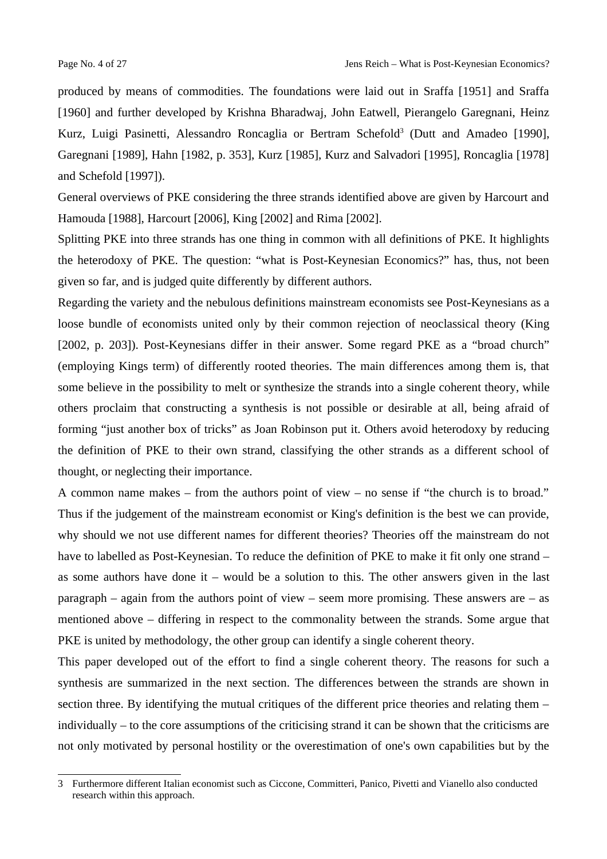produced by means of commodities. The foundations were laid out in Sraffa [1951] and Sraffa [1960] and further developed by Krishna Bharadwaj, John Eatwell, Pierangelo Garegnani, Heinz Kurz, Luigi Pasinetti, Alessandro Roncaglia or Bertram Schefold<sup>[3](#page-3-0)</sup> (Dutt and Amadeo [1990], Garegnani [1989], Hahn [1982, p. 353], Kurz [1985], Kurz and Salvadori [1995], Roncaglia [1978] and Schefold [1997]).

General overviews of PKE considering the three strands identified above are given by Harcourt and Hamouda [1988], Harcourt [2006], King [2002] and Rima [2002].

Splitting PKE into three strands has one thing in common with all definitions of PKE. It highlights the heterodoxy of PKE. The question: "what is Post-Keynesian Economics?" has, thus, not been given so far, and is judged quite differently by different authors.

Regarding the variety and the nebulous definitions mainstream economists see Post-Keynesians as a loose bundle of economists united only by their common rejection of neoclassical theory (King [2002, p. 203]). Post-Keynesians differ in their answer. Some regard PKE as a "broad church" (employing Kings term) of differently rooted theories. The main differences among them is, that some believe in the possibility to melt or synthesize the strands into a single coherent theory, while others proclaim that constructing a synthesis is not possible or desirable at all, being afraid of forming "just another box of tricks" as Joan Robinson put it. Others avoid heterodoxy by reducing the definition of PKE to their own strand, classifying the other strands as a different school of thought, or neglecting their importance.

A common name makes – from the authors point of view – no sense if "the church is to broad." Thus if the judgement of the mainstream economist or King's definition is the best we can provide, why should we not use different names for different theories? Theories off the mainstream do not have to labelled as Post-Keynesian. To reduce the definition of PKE to make it fit only one strand – as some authors have done it – would be a solution to this. The other answers given in the last paragraph – again from the authors point of view – seem more promising. These answers are – as mentioned above – differing in respect to the commonality between the strands. Some argue that PKE is united by methodology, the other group can identify a single coherent theory.

This paper developed out of the effort to find a single coherent theory. The reasons for such a synthesis are summarized in the next section. The differences between the strands are shown in section three. By identifying the mutual critiques of the different price theories and relating them – individually – to the core assumptions of the criticising strand it can be shown that the criticisms are not only motivated by personal hostility or the overestimation of one's own capabilities but by the

<span id="page-3-0"></span><sup>3</sup> Furthermore different Italian economist such as Ciccone, Committeri, Panico, Pivetti and Vianello also conducted research within this approach.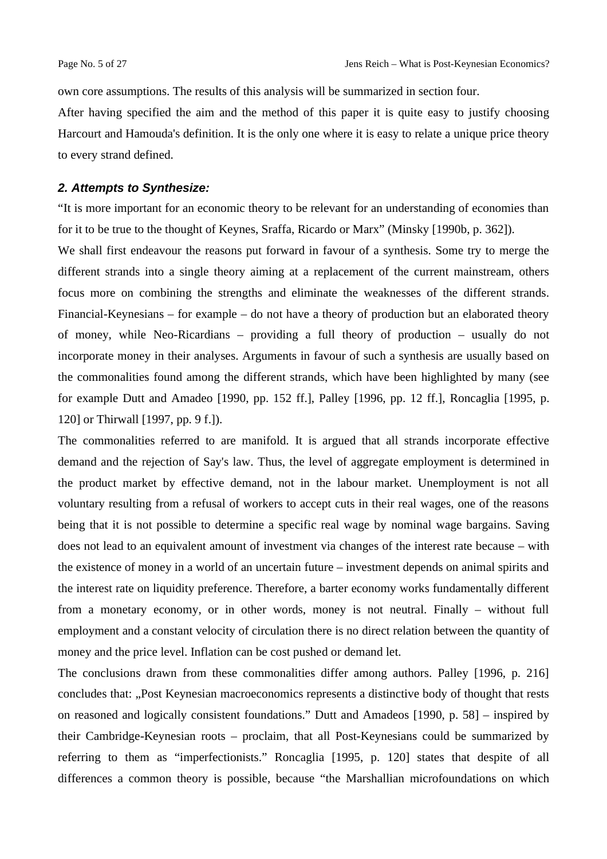own core assumptions. The results of this analysis will be summarized in section four.

After having specified the aim and the method of this paper it is quite easy to justify choosing Harcourt and Hamouda's definition. It is the only one where it is easy to relate a unique price theory to every strand defined.

# *2. Attempts to Synthesize:*

"It is more important for an economic theory to be relevant for an understanding of economies than for it to be true to the thought of Keynes, Sraffa, Ricardo or Marx" (Minsky [1990b, p. 362]).

We shall first endeavour the reasons put forward in favour of a synthesis. Some try to merge the different strands into a single theory aiming at a replacement of the current mainstream, others focus more on combining the strengths and eliminate the weaknesses of the different strands. Financial-Keynesians – for example – do not have a theory of production but an elaborated theory of money, while Neo-Ricardians – providing a full theory of production – usually do not incorporate money in their analyses. Arguments in favour of such a synthesis are usually based on the commonalities found among the different strands, which have been highlighted by many (see for example Dutt and Amadeo [1990, pp. 152 ff.], Palley [1996, pp. 12 ff.], Roncaglia [1995, p. 120] or Thirwall [1997, pp. 9 f.]).

The commonalities referred to are manifold. It is argued that all strands incorporate effective demand and the rejection of Say's law. Thus, the level of aggregate employment is determined in the product market by effective demand, not in the labour market. Unemployment is not all voluntary resulting from a refusal of workers to accept cuts in their real wages, one of the reasons being that it is not possible to determine a specific real wage by nominal wage bargains. Saving does not lead to an equivalent amount of investment via changes of the interest rate because – with the existence of money in a world of an uncertain future – investment depends on animal spirits and the interest rate on liquidity preference. Therefore, a barter economy works fundamentally different from a monetary economy, or in other words, money is not neutral. Finally – without full employment and a constant velocity of circulation there is no direct relation between the quantity of money and the price level. Inflation can be cost pushed or demand let.

The conclusions drawn from these commonalities differ among authors. Palley [1996, p. 216] concludes that: "Post Keynesian macroeconomics represents a distinctive body of thought that rests on reasoned and logically consistent foundations." Dutt and Amadeos [1990, p. 58] – inspired by their Cambridge-Keynesian roots – proclaim, that all Post-Keynesians could be summarized by referring to them as "imperfectionists." Roncaglia [1995, p. 120] states that despite of all differences a common theory is possible, because "the Marshallian microfoundations on which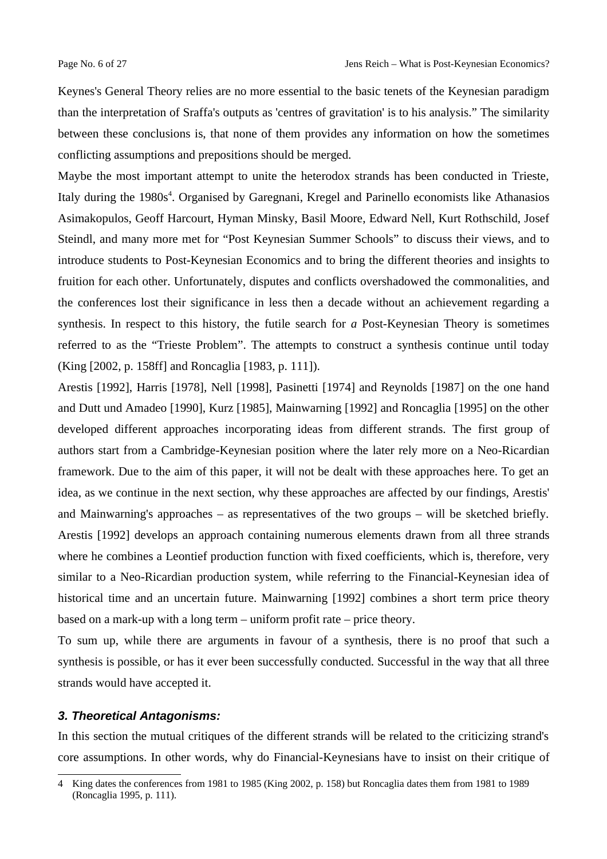Keynes's General Theory relies are no more essential to the basic tenets of the Keynesian paradigm than the interpretation of Sraffa's outputs as 'centres of gravitation' is to his analysis." The similarity between these conclusions is, that none of them provides any information on how the sometimes conflicting assumptions and prepositions should be merged.

Maybe the most important attempt to unite the heterodox strands has been conducted in Trieste, Italy during the 1980s<sup>[4](#page-5-0)</sup>. Organised by Garegnani, Kregel and Parinello economists like Athanasios Asimakopulos, Geoff Harcourt, Hyman Minsky, Basil Moore, Edward Nell, Kurt Rothschild, Josef Steindl, and many more met for "Post Keynesian Summer Schools" to discuss their views, and to introduce students to Post-Keynesian Economics and to bring the different theories and insights to fruition for each other. Unfortunately, disputes and conflicts overshadowed the commonalities, and the conferences lost their significance in less then a decade without an achievement regarding a synthesis. In respect to this history, the futile search for *a* Post-Keynesian Theory is sometimes referred to as the "Trieste Problem". The attempts to construct a synthesis continue until today (King [2002, p. 158ff] and Roncaglia [1983, p. 111]).

Arestis [1992], Harris [1978], Nell [1998], Pasinetti [1974] and Reynolds [1987] on the one hand and Dutt und Amadeo [1990], Kurz [1985], Mainwarning [1992] and Roncaglia [1995] on the other developed different approaches incorporating ideas from different strands. The first group of authors start from a Cambridge-Keynesian position where the later rely more on a Neo-Ricardian framework. Due to the aim of this paper, it will not be dealt with these approaches here. To get an idea, as we continue in the next section, why these approaches are affected by our findings, Arestis' and Mainwarning's approaches – as representatives of the two groups – will be sketched briefly. Arestis [1992] develops an approach containing numerous elements drawn from all three strands where he combines a Leontief production function with fixed coefficients, which is, therefore, very similar to a Neo-Ricardian production system, while referring to the Financial-Keynesian idea of historical time and an uncertain future. Mainwarning [1992] combines a short term price theory based on a mark-up with a long term – uniform profit rate – price theory.

To sum up, while there are arguments in favour of a synthesis, there is no proof that such a synthesis is possible, or has it ever been successfully conducted. Successful in the way that all three strands would have accepted it.

## *3. Theoretical Antagonisms:*

In this section the mutual critiques of the different strands will be related to the criticizing strand's core assumptions. In other words, why do Financial-Keynesians have to insist on their critique of

<span id="page-5-0"></span><sup>4</sup> King dates the conferences from 1981 to 1985 (King 2002, p. 158) but Roncaglia dates them from 1981 to 1989 (Roncaglia 1995, p. 111).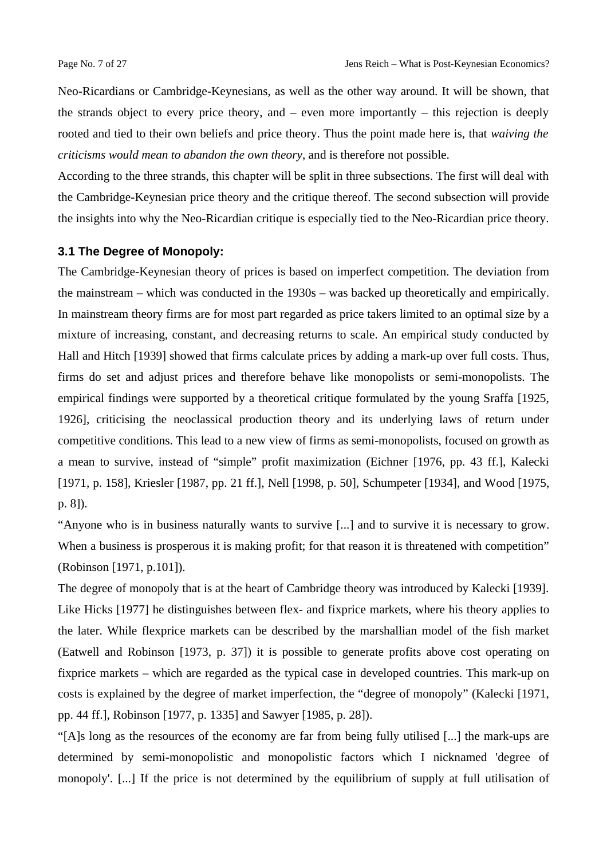Neo-Ricardians or Cambridge-Keynesians, as well as the other way around. It will be shown, that the strands object to every price theory, and  $-$  even more importantly  $-$  this rejection is deeply rooted and tied to their own beliefs and price theory. Thus the point made here is, that *waiving the criticisms would mean to abandon the own theory*, and is therefore not possible.

According to the three strands, this chapter will be split in three subsections. The first will deal with the Cambridge-Keynesian price theory and the critique thereof. The second subsection will provide the insights into why the Neo-Ricardian critique is especially tied to the Neo-Ricardian price theory.

## **3.1 The Degree of Monopoly:**

The Cambridge-Keynesian theory of prices is based on imperfect competition. The deviation from the mainstream – which was conducted in the 1930s – was backed up theoretically and empirically. In mainstream theory firms are for most part regarded as price takers limited to an optimal size by a mixture of increasing, constant, and decreasing returns to scale. An empirical study conducted by Hall and Hitch [1939] showed that firms calculate prices by adding a mark-up over full costs. Thus, firms do set and adjust prices and therefore behave like monopolists or semi-monopolists. The empirical findings were supported by a theoretical critique formulated by the young Sraffa [1925, 1926], criticising the neoclassical production theory and its underlying laws of return under competitive conditions. This lead to a new view of firms as semi-monopolists, focused on growth as a mean to survive, instead of "simple" profit maximization (Eichner [1976, pp. 43 ff.], Kalecki [1971, p. 158], Kriesler [1987, pp. 21 ff.], Nell [1998, p. 50], Schumpeter [1934], and Wood [1975, p. 8]).

"Anyone who is in business naturally wants to survive [...] and to survive it is necessary to grow. When a business is prosperous it is making profit; for that reason it is threatened with competition" (Robinson [1971, p.101]).

The degree of monopoly that is at the heart of Cambridge theory was introduced by Kalecki [1939]. Like Hicks [1977] he distinguishes between flex- and fixprice markets, where his theory applies to the later. While flexprice markets can be described by the marshallian model of the fish market (Eatwell and Robinson [1973, p. 37]) it is possible to generate profits above cost operating on fixprice markets – which are regarded as the typical case in developed countries. This mark-up on costs is explained by the degree of market imperfection, the "degree of monopoly" (Kalecki [1971, pp. 44 ff.], Robinson [1977, p. 1335] and Sawyer [1985, p. 28]).

"[A]s long as the resources of the economy are far from being fully utilised [...] the mark-ups are determined by semi-monopolistic and monopolistic factors which I nicknamed 'degree of monopoly'. [...] If the price is not determined by the equilibrium of supply at full utilisation of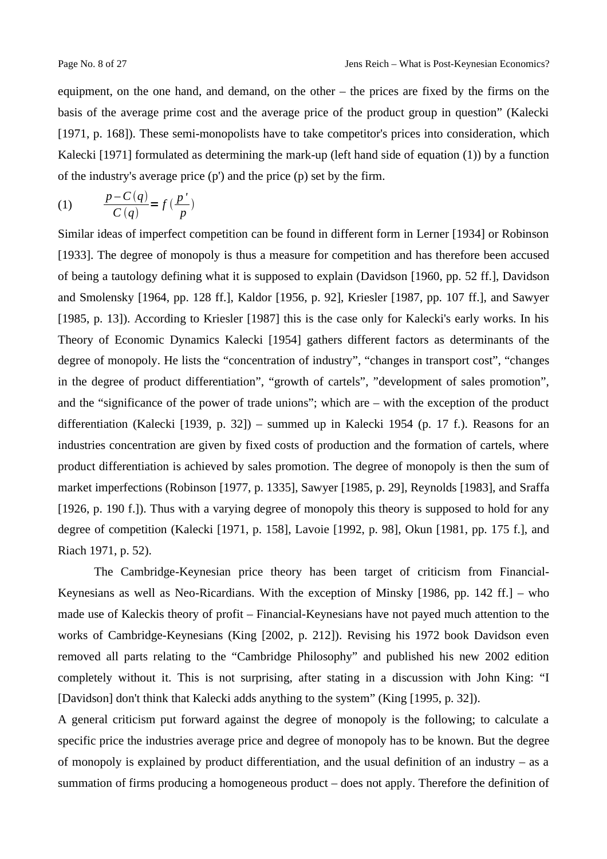equipment, on the one hand, and demand, on the other – the prices are fixed by the firms on the basis of the average prime cost and the average price of the product group in question" (Kalecki [1971, p. 168]). These semi-monopolists have to take competitor's prices into consideration, which Kalecki [1971] formulated as determining the mark-up (left hand side of equation (1)) by a function of the industry's average price  $(p')$  and the price  $(p)$  set by the firm.

$$
(1) \qquad \frac{p - C(q)}{C(q)} = f\left(\frac{p'}{p}\right)
$$

Similar ideas of imperfect competition can be found in different form in Lerner [1934] or Robinson [1933]. The degree of monopoly is thus a measure for competition and has therefore been accused of being a tautology defining what it is supposed to explain (Davidson [1960, pp. 52 ff.], Davidson and Smolensky [1964, pp. 128 ff.], Kaldor [1956, p. 92], Kriesler [1987, pp. 107 ff.], and Sawyer [1985, p. 13]). According to Kriesler [1987] this is the case only for Kalecki's early works. In his Theory of Economic Dynamics Kalecki [1954] gathers different factors as determinants of the degree of monopoly. He lists the "concentration of industry", "changes in transport cost", "changes in the degree of product differentiation", "growth of cartels", "development of sales promotion", and the "significance of the power of trade unions"; which are – with the exception of the product differentiation (Kalecki [1939, p. 32]) – summed up in Kalecki 1954 (p. 17 f.). Reasons for an industries concentration are given by fixed costs of production and the formation of cartels, where product differentiation is achieved by sales promotion. The degree of monopoly is then the sum of market imperfections (Robinson [1977, p. 1335], Sawyer [1985, p. 29], Reynolds [1983], and Sraffa [1926, p. 190 f.]). Thus with a varying degree of monopoly this theory is supposed to hold for any degree of competition (Kalecki [1971, p. 158], Lavoie [1992, p. 98], Okun [1981, pp. 175 f.], and Riach 1971, p. 52).

The Cambridge-Keynesian price theory has been target of criticism from Financial-Keynesians as well as Neo-Ricardians. With the exception of Minsky [1986, pp. 142 ff.] – who made use of Kaleckis theory of profit – Financial-Keynesians have not payed much attention to the works of Cambridge-Keynesians (King [2002, p. 212]). Revising his 1972 book Davidson even removed all parts relating to the "Cambridge Philosophy" and published his new 2002 edition completely without it. This is not surprising, after stating in a discussion with John King: "I [Davidson] don't think that Kalecki adds anything to the system" (King [1995, p. 32]).

A general criticism put forward against the degree of monopoly is the following; to calculate a specific price the industries average price and degree of monopoly has to be known. But the degree of monopoly is explained by product differentiation, and the usual definition of an industry  $-$  as a summation of firms producing a homogeneous product – does not apply. Therefore the definition of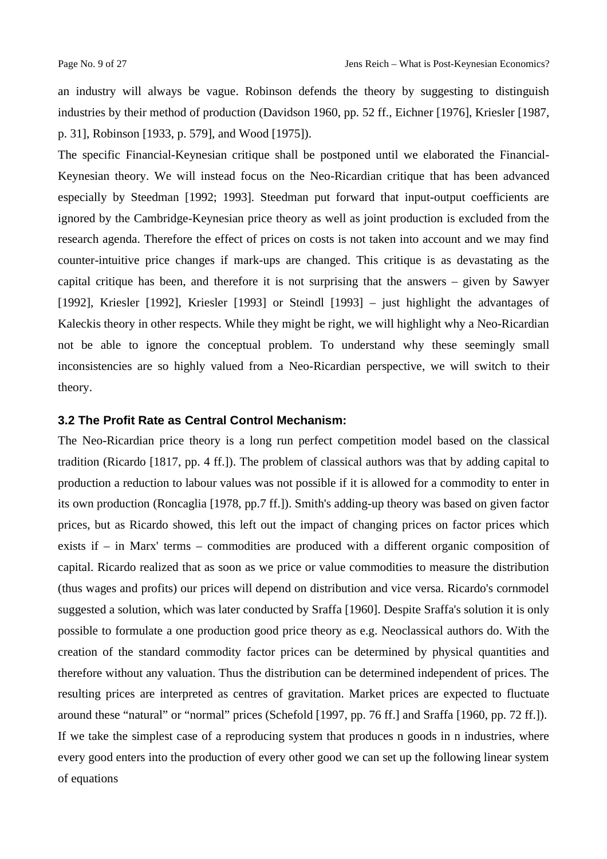an industry will always be vague. Robinson defends the theory by suggesting to distinguish industries by their method of production (Davidson 1960, pp. 52 ff., Eichner [1976], Kriesler [1987, p. 31], Robinson [1933, p. 579], and Wood [1975]).

The specific Financial-Keynesian critique shall be postponed until we elaborated the Financial-Keynesian theory. We will instead focus on the Neo-Ricardian critique that has been advanced especially by Steedman [1992; 1993]. Steedman put forward that input-output coefficients are ignored by the Cambridge-Keynesian price theory as well as joint production is excluded from the research agenda. Therefore the effect of prices on costs is not taken into account and we may find counter-intuitive price changes if mark-ups are changed. This critique is as devastating as the capital critique has been, and therefore it is not surprising that the answers – given by Sawyer [1992], Kriesler [1992], Kriesler [1993] or Steindl [1993] – just highlight the advantages of Kaleckis theory in other respects. While they might be right, we will highlight why a Neo-Ricardian not be able to ignore the conceptual problem. To understand why these seemingly small inconsistencies are so highly valued from a Neo-Ricardian perspective, we will switch to their theory.

# **3.2 The Profit Rate as Central Control Mechanism:**

The Neo-Ricardian price theory is a long run perfect competition model based on the classical tradition (Ricardo [1817, pp. 4 ff.]). The problem of classical authors was that by adding capital to production a reduction to labour values was not possible if it is allowed for a commodity to enter in its own production (Roncaglia [1978, pp.7 ff.]). Smith's adding-up theory was based on given factor prices, but as Ricardo showed, this left out the impact of changing prices on factor prices which exists if – in Marx' terms – commodities are produced with a different organic composition of capital. Ricardo realized that as soon as we price or value commodities to measure the distribution (thus wages and profits) our prices will depend on distribution and vice versa. Ricardo's cornmodel suggested a solution, which was later conducted by Sraffa [1960]. Despite Sraffa's solution it is only possible to formulate a one production good price theory as e.g. Neoclassical authors do. With the creation of the standard commodity factor prices can be determined by physical quantities and therefore without any valuation. Thus the distribution can be determined independent of prices. The resulting prices are interpreted as centres of gravitation. Market prices are expected to fluctuate around these "natural" or "normal" prices (Schefold [1997, pp. 76 ff.] and Sraffa [1960, pp. 72 ff.]). If we take the simplest case of a reproducing system that produces n goods in n industries, where every good enters into the production of every other good we can set up the following linear system of equations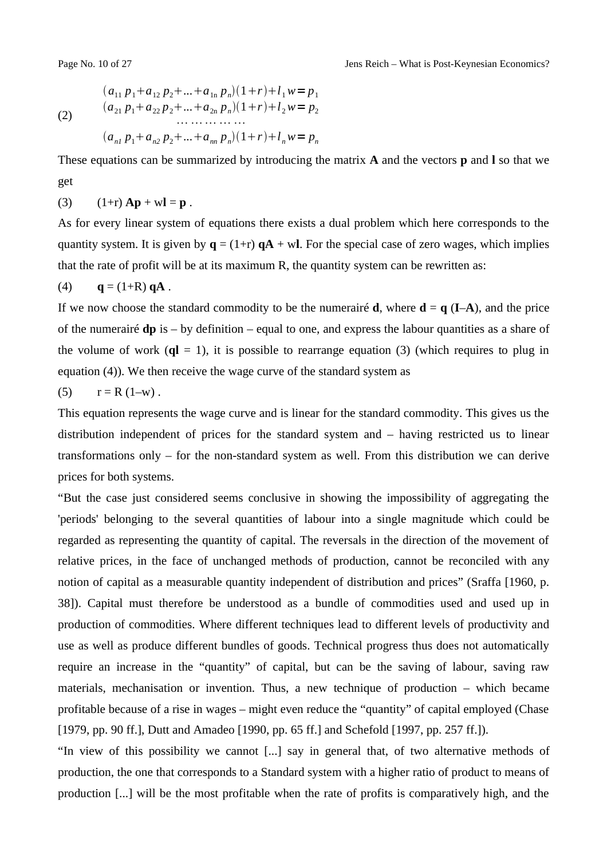(2)

$$
(a_{11} p_1 + a_{12} p_2 + ... + a_{1n} p_n)(1+r) + l_1 w = p_1
$$
  
\n
$$
(a_{21} p_1 + a_{22} p_2 + ... + a_{2n} p_n)(1+r) + l_2 w = p_2
$$
  
\n
$$
(a_{n1} p_1 + a_{n2} p_2 + ... + a_{nn} p_n)(1+r) + l_n w = p_n
$$

These equations can be summarized by introducing the matrix **A** and the vectors **p** and **l** so that we get

(3) 
$$
(1+r) Ap + wI = p
$$
.

As for every linear system of equations there exists a dual problem which here corresponds to the quantity system. It is given by  $q = (1+r) qA + wI$ . For the special case of zero wages, which implies that the rate of profit will be at its maximum R, the quantity system can be rewritten as:

# (4) **q** = (1+R) **qA**.

If we now choose the standard commodity to be the numerairé **d**, where  $\mathbf{d} = \mathbf{q}$  (I–A), and the price of the numerairé **dp** is – by definition – equal to one, and express the labour quantities as a share of the volume of work  $(ql = 1)$ , it is possible to rearrange equation (3) (which requires to plug in equation (4)). We then receive the wage curve of the standard system as

(5) 
$$
r = R(1-w)
$$
.

This equation represents the wage curve and is linear for the standard commodity. This gives us the distribution independent of prices for the standard system and – having restricted us to linear transformations only – for the non-standard system as well. From this distribution we can derive prices for both systems.

"But the case just considered seems conclusive in showing the impossibility of aggregating the 'periods' belonging to the several quantities of labour into a single magnitude which could be regarded as representing the quantity of capital. The reversals in the direction of the movement of relative prices, in the face of unchanged methods of production, cannot be reconciled with any notion of capital as a measurable quantity independent of distribution and prices" (Sraffa [1960, p. 38]). Capital must therefore be understood as a bundle of commodities used and used up in production of commodities. Where different techniques lead to different levels of productivity and use as well as produce different bundles of goods. Technical progress thus does not automatically require an increase in the "quantity" of capital, but can be the saving of labour, saving raw materials, mechanisation or invention. Thus, a new technique of production – which became profitable because of a rise in wages – might even reduce the "quantity" of capital employed (Chase [1979, pp. 90 ff.], Dutt and Amadeo [1990, pp. 65 ff.] and Schefold [1997, pp. 257 ff.]).

"In view of this possibility we cannot [...] say in general that, of two alternative methods of production, the one that corresponds to a Standard system with a higher ratio of product to means of production [...] will be the most profitable when the rate of profits is comparatively high, and the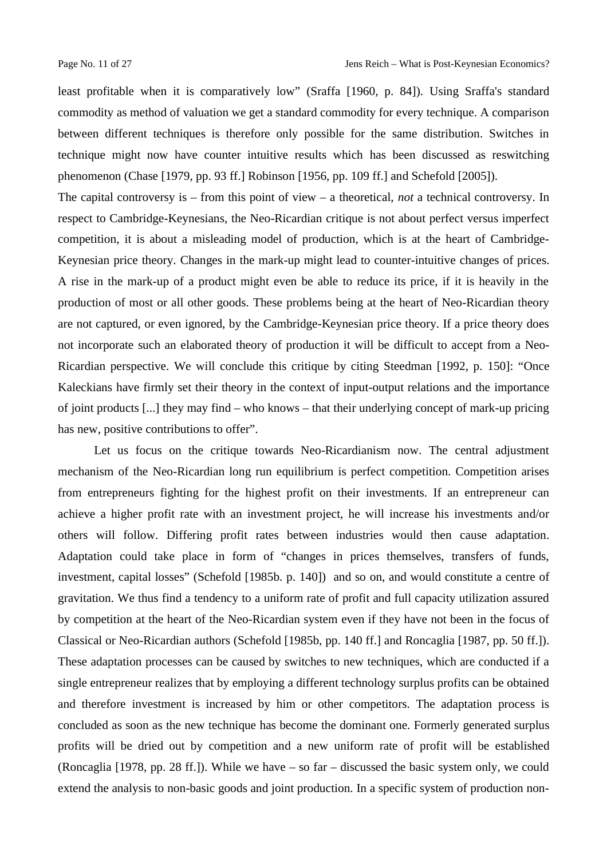least profitable when it is comparatively low" (Sraffa [1960, p. 84]). Using Sraffa's standard commodity as method of valuation we get a standard commodity for every technique. A comparison between different techniques is therefore only possible for the same distribution. Switches in technique might now have counter intuitive results which has been discussed as reswitching phenomenon (Chase [1979, pp. 93 ff.] Robinson [1956, pp. 109 ff.] and Schefold [2005]).

The capital controversy is – from this point of view – a theoretical, *not* a technical controversy. In respect to Cambridge-Keynesians, the Neo-Ricardian critique is not about perfect versus imperfect competition, it is about a misleading model of production, which is at the heart of Cambridge-Keynesian price theory. Changes in the mark-up might lead to counter-intuitive changes of prices. A rise in the mark-up of a product might even be able to reduce its price, if it is heavily in the production of most or all other goods. These problems being at the heart of Neo-Ricardian theory are not captured, or even ignored, by the Cambridge-Keynesian price theory. If a price theory does not incorporate such an elaborated theory of production it will be difficult to accept from a Neo-Ricardian perspective. We will conclude this critique by citing Steedman [1992, p. 150]: "Once Kaleckians have firmly set their theory in the context of input-output relations and the importance of joint products [...] they may find – who knows – that their underlying concept of mark-up pricing has new, positive contributions to offer".

Let us focus on the critique towards Neo-Ricardianism now. The central adjustment mechanism of the Neo-Ricardian long run equilibrium is perfect competition. Competition arises from entrepreneurs fighting for the highest profit on their investments. If an entrepreneur can achieve a higher profit rate with an investment project, he will increase his investments and/or others will follow. Differing profit rates between industries would then cause adaptation. Adaptation could take place in form of "changes in prices themselves, transfers of funds, investment, capital losses" (Schefold [1985b. p. 140]) and so on, and would constitute a centre of gravitation. We thus find a tendency to a uniform rate of profit and full capacity utilization assured by competition at the heart of the Neo-Ricardian system even if they have not been in the focus of Classical or Neo-Ricardian authors (Schefold [1985b, pp. 140 ff.] and Roncaglia [1987, pp. 50 ff.]). These adaptation processes can be caused by switches to new techniques, which are conducted if a single entrepreneur realizes that by employing a different technology surplus profits can be obtained and therefore investment is increased by him or other competitors. The adaptation process is concluded as soon as the new technique has become the dominant one. Formerly generated surplus profits will be dried out by competition and a new uniform rate of profit will be established (Roncaglia [1978, pp. 28 ff.]). While we have  $-$  so far  $-$  discussed the basic system only, we could extend the analysis to non-basic goods and joint production. In a specific system of production non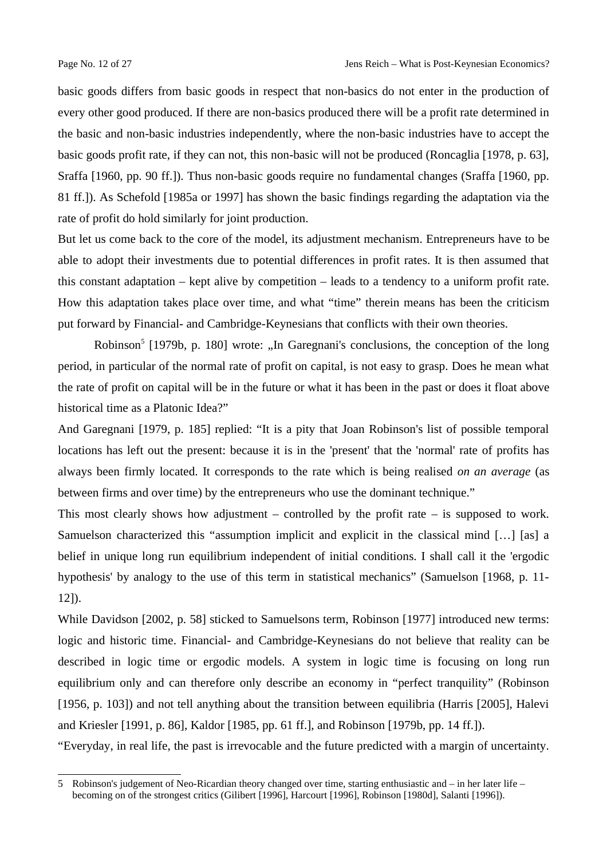basic goods differs from basic goods in respect that non-basics do not enter in the production of every other good produced. If there are non-basics produced there will be a profit rate determined in the basic and non-basic industries independently, where the non-basic industries have to accept the basic goods profit rate, if they can not, this non-basic will not be produced (Roncaglia [1978, p. 63], Sraffa [1960, pp. 90 ff.]). Thus non-basic goods require no fundamental changes (Sraffa [1960, pp. 81 ff.]). As Schefold [1985a or 1997] has shown the basic findings regarding the adaptation via the rate of profit do hold similarly for joint production.

But let us come back to the core of the model, its adjustment mechanism. Entrepreneurs have to be able to adopt their investments due to potential differences in profit rates. It is then assumed that this constant adaptation  $-$  kept alive by competition  $-$  leads to a tendency to a uniform profit rate. How this adaptation takes place over time, and what "time" therein means has been the criticism put forward by Financial- and Cambridge-Keynesians that conflicts with their own theories.

Robinson<sup>[5](#page-11-0)</sup> [1979b, p. 180] wrote: "In Garegnani's conclusions, the conception of the long period, in particular of the normal rate of profit on capital, is not easy to grasp. Does he mean what the rate of profit on capital will be in the future or what it has been in the past or does it float above historical time as a Platonic Idea?"

And Garegnani [1979, p. 185] replied: "It is a pity that Joan Robinson's list of possible temporal locations has left out the present: because it is in the 'present' that the 'normal' rate of profits has always been firmly located. It corresponds to the rate which is being realised *on an average* (as between firms and over time) by the entrepreneurs who use the dominant technique."

This most clearly shows how adjustment – controlled by the profit rate – is supposed to work. Samuelson characterized this "assumption implicit and explicit in the classical mind […] [as] a belief in unique long run equilibrium independent of initial conditions. I shall call it the 'ergodic hypothesis' by analogy to the use of this term in statistical mechanics" (Samuelson [1968, p. 11- 12]).

While Davidson [2002, p. 58] sticked to Samuelsons term, Robinson [1977] introduced new terms: logic and historic time. Financial- and Cambridge-Keynesians do not believe that reality can be described in logic time or ergodic models. A system in logic time is focusing on long run equilibrium only and can therefore only describe an economy in "perfect tranquility" (Robinson [1956, p. 103]) and not tell anything about the transition between equilibria (Harris [2005], Halevi and Kriesler [1991, p. 86], Kaldor [1985, pp. 61 ff.], and Robinson [1979b, pp. 14 ff.]).

"Everyday, in real life, the past is irrevocable and the future predicted with a margin of uncertainty.

<span id="page-11-0"></span><sup>5</sup> Robinson's judgement of Neo-Ricardian theory changed over time, starting enthusiastic and – in her later life – becoming on of the strongest critics (Gilibert [1996], Harcourt [1996], Robinson [1980d], Salanti [1996]).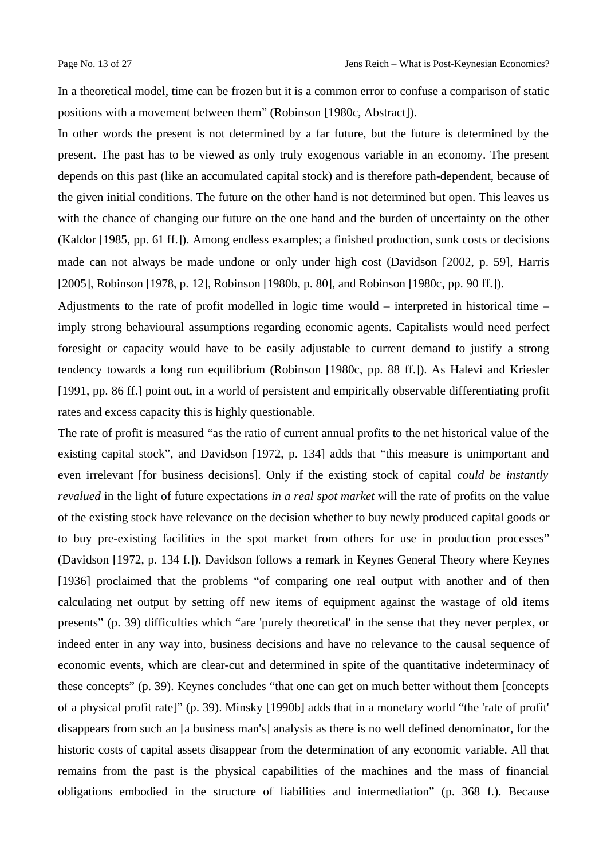In a theoretical model, time can be frozen but it is a common error to confuse a comparison of static positions with a movement between them" (Robinson [1980c, Abstract]).

In other words the present is not determined by a far future, but the future is determined by the present. The past has to be viewed as only truly exogenous variable in an economy. The present depends on this past (like an accumulated capital stock) and is therefore path-dependent, because of the given initial conditions. The future on the other hand is not determined but open. This leaves us with the chance of changing our future on the one hand and the burden of uncertainty on the other (Kaldor [1985, pp. 61 ff.]). Among endless examples; a finished production, sunk costs or decisions made can not always be made undone or only under high cost (Davidson [2002, p. 59], Harris [2005], Robinson [1978, p. 12], Robinson [1980b, p. 80], and Robinson [1980c, pp. 90 ff.]).

Adjustments to the rate of profit modelled in logic time would – interpreted in historical time – imply strong behavioural assumptions regarding economic agents. Capitalists would need perfect foresight or capacity would have to be easily adjustable to current demand to justify a strong tendency towards a long run equilibrium (Robinson [1980c, pp. 88 ff.]). As Halevi and Kriesler [1991, pp. 86 ff.] point out, in a world of persistent and empirically observable differentiating profit rates and excess capacity this is highly questionable.

The rate of profit is measured "as the ratio of current annual profits to the net historical value of the existing capital stock", and Davidson [1972, p. 134] adds that "this measure is unimportant and even irrelevant [for business decisions]. Only if the existing stock of capital *could be instantly revalued* in the light of future expectations *in a real spot market* will the rate of profits on the value of the existing stock have relevance on the decision whether to buy newly produced capital goods or to buy pre-existing facilities in the spot market from others for use in production processes" (Davidson [1972, p. 134 f.]). Davidson follows a remark in Keynes General Theory where Keynes [1936] proclaimed that the problems "of comparing one real output with another and of then calculating net output by setting off new items of equipment against the wastage of old items presents" (p. 39) difficulties which "are 'purely theoretical' in the sense that they never perplex, or indeed enter in any way into, business decisions and have no relevance to the causal sequence of economic events, which are clear-cut and determined in spite of the quantitative indeterminacy of these concepts" (p. 39). Keynes concludes "that one can get on much better without them [concepts of a physical profit rate]" (p. 39). Minsky [1990b] adds that in a monetary world "the 'rate of profit' disappears from such an [a business man's] analysis as there is no well defined denominator, for the historic costs of capital assets disappear from the determination of any economic variable. All that remains from the past is the physical capabilities of the machines and the mass of financial obligations embodied in the structure of liabilities and intermediation" (p. 368 f.). Because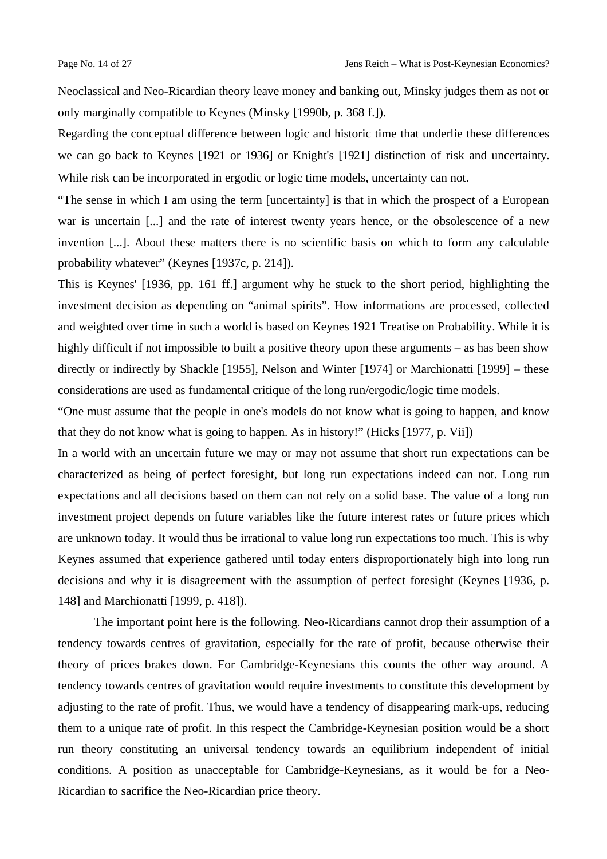Neoclassical and Neo-Ricardian theory leave money and banking out, Minsky judges them as not or only marginally compatible to Keynes (Minsky [1990b, p. 368 f.]).

Regarding the conceptual difference between logic and historic time that underlie these differences we can go back to Keynes [1921 or 1936] or Knight's [1921] distinction of risk and uncertainty. While risk can be incorporated in ergodic or logic time models, uncertainty can not.

"The sense in which I am using the term [uncertainty] is that in which the prospect of a European war is uncertain [...] and the rate of interest twenty years hence, or the obsolescence of a new invention [...]. About these matters there is no scientific basis on which to form any calculable probability whatever" (Keynes [1937c, p. 214]).

This is Keynes' [1936, pp. 161 ff.] argument why he stuck to the short period, highlighting the investment decision as depending on "animal spirits". How informations are processed, collected and weighted over time in such a world is based on Keynes 1921 Treatise on Probability. While it is highly difficult if not impossible to built a positive theory upon these arguments – as has been show directly or indirectly by Shackle [1955], Nelson and Winter [1974] or Marchionatti [1999] – these considerations are used as fundamental critique of the long run/ergodic/logic time models.

"One must assume that the people in one's models do not know what is going to happen, and know that they do not know what is going to happen. As in history!" (Hicks [1977, p. Vii])

In a world with an uncertain future we may or may not assume that short run expectations can be characterized as being of perfect foresight, but long run expectations indeed can not. Long run expectations and all decisions based on them can not rely on a solid base. The value of a long run investment project depends on future variables like the future interest rates or future prices which are unknown today. It would thus be irrational to value long run expectations too much. This is why Keynes assumed that experience gathered until today enters disproportionately high into long run decisions and why it is disagreement with the assumption of perfect foresight (Keynes [1936, p. 148] and Marchionatti [1999, p. 418]).

The important point here is the following. Neo-Ricardians cannot drop their assumption of a tendency towards centres of gravitation, especially for the rate of profit, because otherwise their theory of prices brakes down. For Cambridge-Keynesians this counts the other way around. A tendency towards centres of gravitation would require investments to constitute this development by adjusting to the rate of profit. Thus, we would have a tendency of disappearing mark-ups, reducing them to a unique rate of profit. In this respect the Cambridge-Keynesian position would be a short run theory constituting an universal tendency towards an equilibrium independent of initial conditions. A position as unacceptable for Cambridge-Keynesians, as it would be for a Neo-Ricardian to sacrifice the Neo-Ricardian price theory.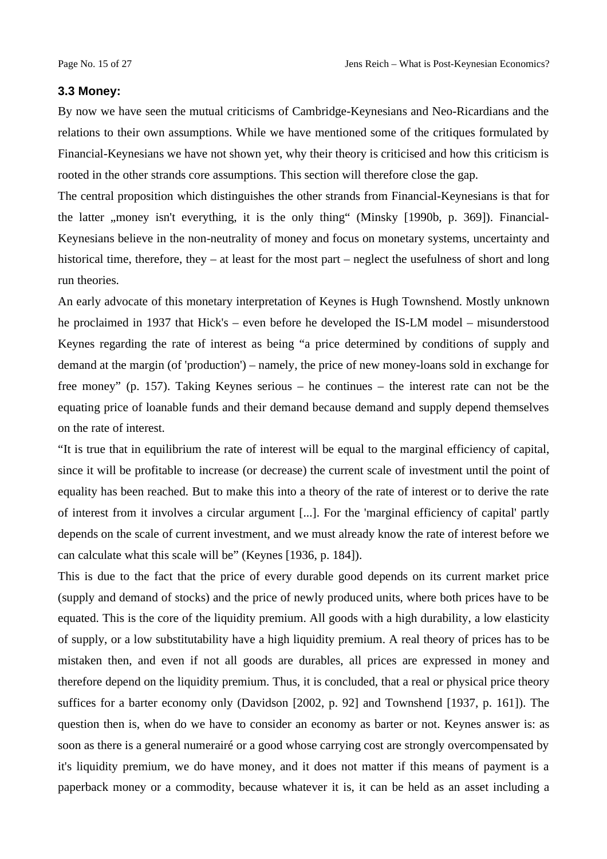#### **3.3 Money:**

By now we have seen the mutual criticisms of Cambridge-Keynesians and Neo-Ricardians and the relations to their own assumptions. While we have mentioned some of the critiques formulated by Financial-Keynesians we have not shown yet, why their theory is criticised and how this criticism is rooted in the other strands core assumptions. This section will therefore close the gap.

The central proposition which distinguishes the other strands from Financial-Keynesians is that for the latter "money isn't everything, it is the only thing" (Minsky [1990b, p. 369]). Financial-Keynesians believe in the non-neutrality of money and focus on monetary systems, uncertainty and historical time, therefore, they – at least for the most part – neglect the usefulness of short and long run theories.

An early advocate of this monetary interpretation of Keynes is Hugh Townshend. Mostly unknown he proclaimed in 1937 that Hick's – even before he developed the IS-LM model – misunderstood Keynes regarding the rate of interest as being "a price determined by conditions of supply and demand at the margin (of 'production') – namely, the price of new money-loans sold in exchange for free money" (p. 157). Taking Keynes serious – he continues – the interest rate can not be the equating price of loanable funds and their demand because demand and supply depend themselves on the rate of interest.

"It is true that in equilibrium the rate of interest will be equal to the marginal efficiency of capital, since it will be profitable to increase (or decrease) the current scale of investment until the point of equality has been reached. But to make this into a theory of the rate of interest or to derive the rate of interest from it involves a circular argument [...]. For the 'marginal efficiency of capital' partly depends on the scale of current investment, and we must already know the rate of interest before we can calculate what this scale will be" (Keynes [1936, p. 184]).

This is due to the fact that the price of every durable good depends on its current market price (supply and demand of stocks) and the price of newly produced units, where both prices have to be equated. This is the core of the liquidity premium. All goods with a high durability, a low elasticity of supply, or a low substitutability have a high liquidity premium. A real theory of prices has to be mistaken then, and even if not all goods are durables, all prices are expressed in money and therefore depend on the liquidity premium. Thus, it is concluded, that a real or physical price theory suffices for a barter economy only (Davidson [2002, p. 92] and Townshend [1937, p. 161]). The question then is, when do we have to consider an economy as barter or not. Keynes answer is: as soon as there is a general numerairé or a good whose carrying cost are strongly overcompensated by it's liquidity premium, we do have money, and it does not matter if this means of payment is a paperback money or a commodity, because whatever it is, it can be held as an asset including a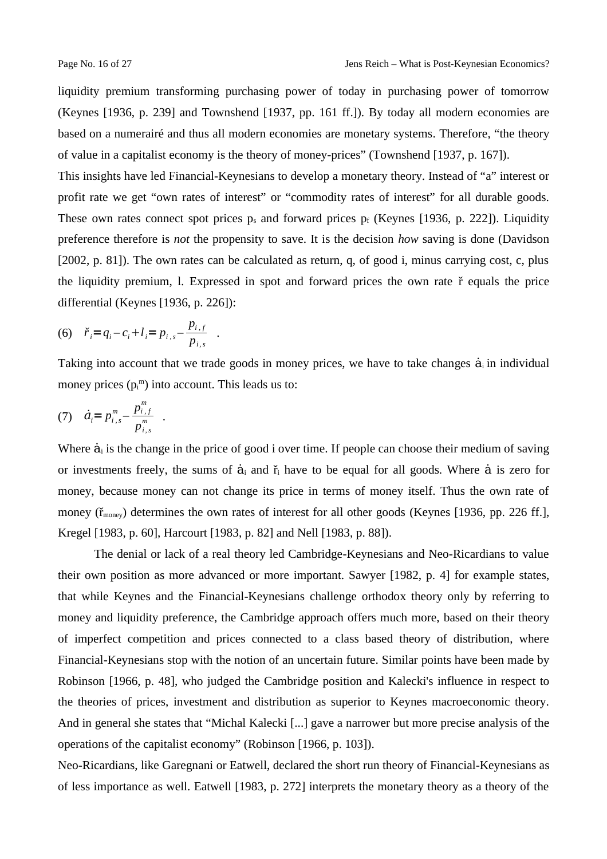liquidity premium transforming purchasing power of today in purchasing power of tomorrow (Keynes [1936, p. 239] and Townshend [1937, pp. 161 ff.]). By today all modern economies are based on a numerairé and thus all modern economies are monetary systems. Therefore, "the theory of value in a capitalist economy is the theory of money-prices" (Townshend [1937, p. 167]).

This insights have led Financial-Keynesians to develop a monetary theory. Instead of "a" interest or profit rate we get "own rates of interest" or "commodity rates of interest" for all durable goods. These own rates connect spot prices  $p_s$  and forward prices  $p_f$  (Keynes [1936, p. 222]). Liquidity preference therefore is *not* the propensity to save. It is the decision *how* saving is done (Davidson [2002, p. 81]). The own rates can be calculated as return, q, of good i, minus carrying cost, c, plus the liquidity premium, l. Expressed in spot and forward prices the own rate ř equals the price differential (Keynes [1936, p. 226]):

(6) 
$$
\check{r}_i = q_i - c_i + l_i = p_{i,s} - \frac{p_{i,f}}{p_{i,s}}
$$
.

Taking into account that we trade goods in money prices, we have to take changes  $\dot{a}$  in individual money prices  $(p_i^m)$  into account. This leads us to:

(7) 
$$
\dot{a}_i = p_{i,s}^m - \frac{p_{i,f}^m}{p_{i,s}^m}
$$
.

Where  $\dot{a}_i$  is the change in the price of good i over time. If people can choose their medium of saving or investments freely, the sums of  $\dot{a}_i$  and  $\dot{r}_i$  have to be equal for all goods. Where  $\dot{a}$  is zero for money, because money can not change its price in terms of money itself. Thus the own rate of money  $(\tilde{r}_{\text{money}})$  determines the own rates of interest for all other goods (Keynes [1936, pp. 226 ff.], Kregel [1983, p. 60], Harcourt [1983, p. 82] and Nell [1983, p. 88]).

The denial or lack of a real theory led Cambridge-Keynesians and Neo-Ricardians to value their own position as more advanced or more important. Sawyer [1982, p. 4] for example states, that while Keynes and the Financial-Keynesians challenge orthodox theory only by referring to money and liquidity preference, the Cambridge approach offers much more, based on their theory of imperfect competition and prices connected to a class based theory of distribution, where Financial-Keynesians stop with the notion of an uncertain future. Similar points have been made by Robinson [1966, p. 48], who judged the Cambridge position and Kalecki's influence in respect to the theories of prices, investment and distribution as superior to Keynes macroeconomic theory. And in general she states that "Michal Kalecki [...] gave a narrower but more precise analysis of the operations of the capitalist economy" (Robinson [1966, p. 103]).

Neo-Ricardians, like Garegnani or Eatwell, declared the short run theory of Financial-Keynesians as of less importance as well. Eatwell [1983, p. 272] interprets the monetary theory as a theory of the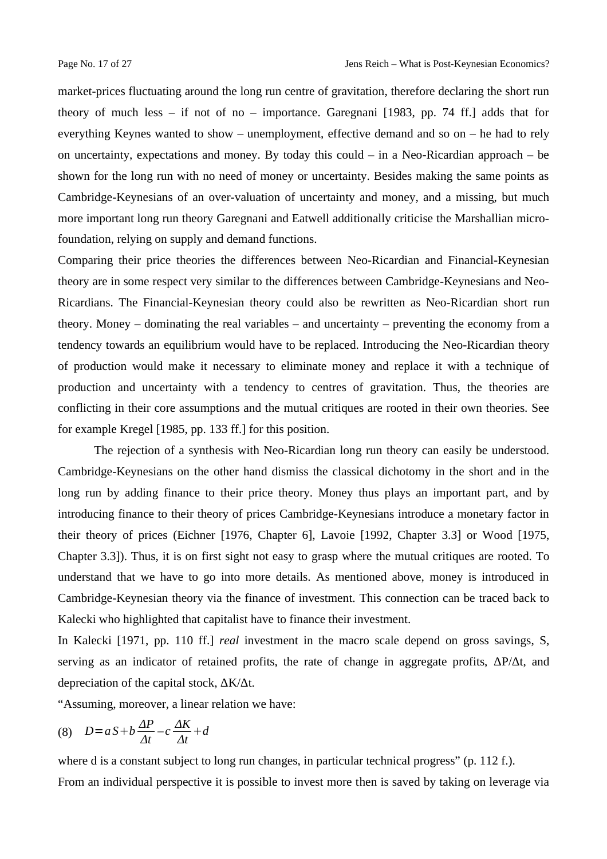market-prices fluctuating around the long run centre of gravitation, therefore declaring the short run theory of much less – if not of no – importance. Garegnani [1983, pp. 74 ff.] adds that for everything Keynes wanted to show – unemployment, effective demand and so on – he had to rely on uncertainty, expectations and money. By today this could  $-$  in a Neo-Ricardian approach  $-$  be shown for the long run with no need of money or uncertainty. Besides making the same points as Cambridge-Keynesians of an over-valuation of uncertainty and money, and a missing, but much more important long run theory Garegnani and Eatwell additionally criticise the Marshallian microfoundation, relying on supply and demand functions.

Comparing their price theories the differences between Neo-Ricardian and Financial-Keynesian theory are in some respect very similar to the differences between Cambridge-Keynesians and Neo-Ricardians. The Financial-Keynesian theory could also be rewritten as Neo-Ricardian short run theory. Money – dominating the real variables – and uncertainty – preventing the economy from a tendency towards an equilibrium would have to be replaced. Introducing the Neo-Ricardian theory of production would make it necessary to eliminate money and replace it with a technique of production and uncertainty with a tendency to centres of gravitation. Thus, the theories are conflicting in their core assumptions and the mutual critiques are rooted in their own theories. See for example Kregel [1985, pp. 133 ff.] for this position.

The rejection of a synthesis with Neo-Ricardian long run theory can easily be understood. Cambridge-Keynesians on the other hand dismiss the classical dichotomy in the short and in the long run by adding finance to their price theory. Money thus plays an important part, and by introducing finance to their theory of prices Cambridge-Keynesians introduce a monetary factor in their theory of prices (Eichner [1976, Chapter 6], Lavoie [1992, Chapter 3.3] or Wood [1975, Chapter 3.3]). Thus, it is on first sight not easy to grasp where the mutual critiques are rooted. To understand that we have to go into more details. As mentioned above, money is introduced in Cambridge-Keynesian theory via the finance of investment. This connection can be traced back to Kalecki who highlighted that capitalist have to finance their investment.

In Kalecki [1971, pp. 110 ff.] *real* investment in the macro scale depend on gross savings, S, serving as an indicator of retained profits, the rate of change in aggregate profits,  $\Delta P/\Delta t$ , and depreciation of the capital stock, ΔK/Δt.

"Assuming, moreover, a linear relation we have:

$$
(8) \quad D = aS + b\frac{\Delta P}{\Delta t} - c\frac{\Delta K}{\Delta t} + d
$$

where d is a constant subject to long run changes, in particular technical progress" (p. 112 f.). From an individual perspective it is possible to invest more then is saved by taking on leverage via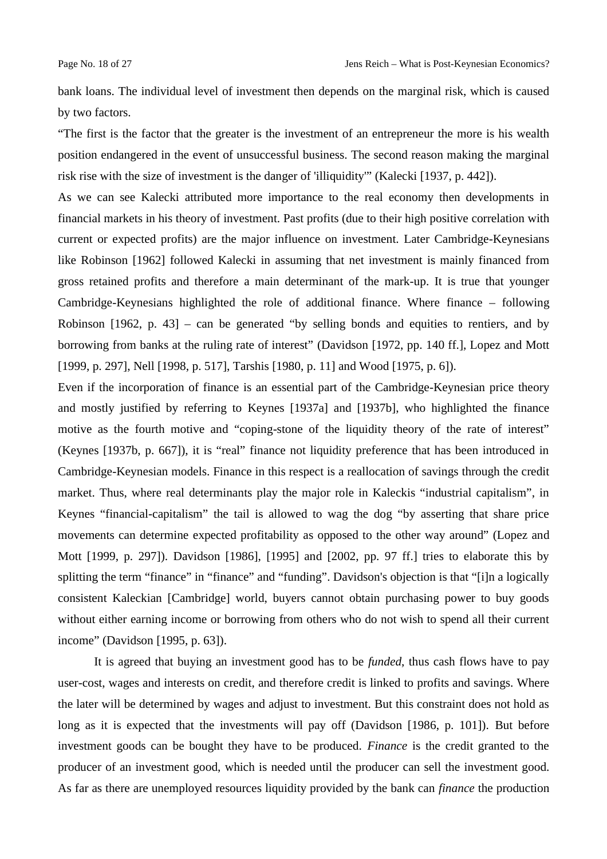bank loans. The individual level of investment then depends on the marginal risk, which is caused by two factors.

"The first is the factor that the greater is the investment of an entrepreneur the more is his wealth position endangered in the event of unsuccessful business. The second reason making the marginal risk rise with the size of investment is the danger of 'illiquidity'" (Kalecki [1937, p. 442]).

As we can see Kalecki attributed more importance to the real economy then developments in financial markets in his theory of investment. Past profits (due to their high positive correlation with current or expected profits) are the major influence on investment. Later Cambridge-Keynesians like Robinson [1962] followed Kalecki in assuming that net investment is mainly financed from gross retained profits and therefore a main determinant of the mark-up. It is true that younger Cambridge-Keynesians highlighted the role of additional finance. Where finance – following Robinson  $[1962, p. 43]$  – can be generated "by selling bonds and equities to rentiers, and by borrowing from banks at the ruling rate of interest" (Davidson [1972, pp. 140 ff.], Lopez and Mott [1999, p. 297], Nell [1998, p. 517], Tarshis [1980, p. 11] and Wood [1975, p. 6]).

Even if the incorporation of finance is an essential part of the Cambridge-Keynesian price theory and mostly justified by referring to Keynes [1937a] and [1937b], who highlighted the finance motive as the fourth motive and "coping-stone of the liquidity theory of the rate of interest" (Keynes [1937b, p. 667]), it is "real" finance not liquidity preference that has been introduced in Cambridge-Keynesian models. Finance in this respect is a reallocation of savings through the credit market. Thus, where real determinants play the major role in Kaleckis "industrial capitalism", in Keynes "financial-capitalism" the tail is allowed to wag the dog "by asserting that share price movements can determine expected profitability as opposed to the other way around" (Lopez and Mott [1999, p. 297]). Davidson [1986], [1995] and [2002, pp. 97 ff.] tries to elaborate this by splitting the term "finance" in "finance" and "funding". Davidson's objection is that "[i]n a logically consistent Kaleckian [Cambridge] world, buyers cannot obtain purchasing power to buy goods without either earning income or borrowing from others who do not wish to spend all their current income" (Davidson [1995, p. 63]).

It is agreed that buying an investment good has to be *funded*, thus cash flows have to pay user-cost, wages and interests on credit, and therefore credit is linked to profits and savings. Where the later will be determined by wages and adjust to investment. But this constraint does not hold as long as it is expected that the investments will pay off (Davidson [1986, p. 101]). But before investment goods can be bought they have to be produced. *Finance* is the credit granted to the producer of an investment good, which is needed until the producer can sell the investment good. As far as there are unemployed resources liquidity provided by the bank can *finance* the production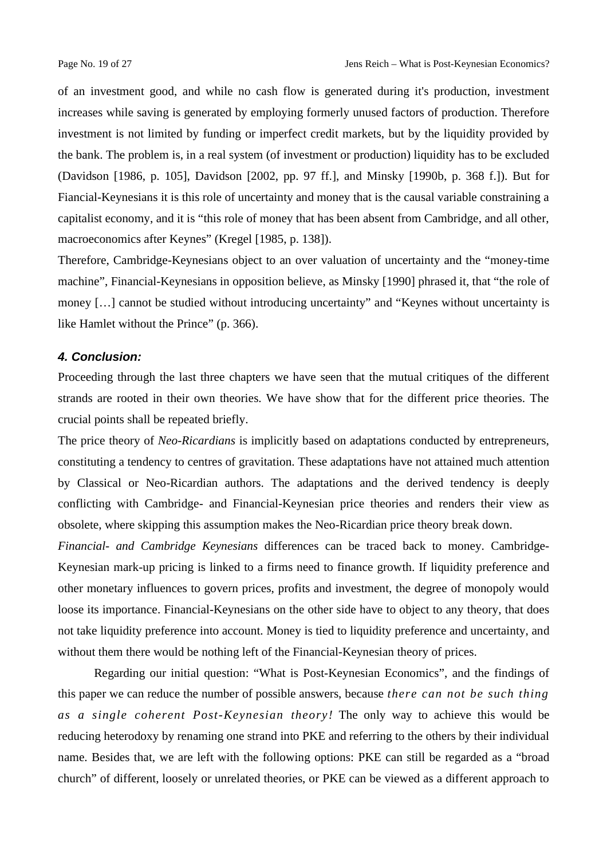of an investment good, and while no cash flow is generated during it's production, investment increases while saving is generated by employing formerly unused factors of production. Therefore investment is not limited by funding or imperfect credit markets, but by the liquidity provided by the bank. The problem is, in a real system (of investment or production) liquidity has to be excluded (Davidson [1986, p. 105], Davidson [2002, pp. 97 ff.], and Minsky [1990b, p. 368 f.]). But for Fiancial-Keynesians it is this role of uncertainty and money that is the causal variable constraining a capitalist economy, and it is "this role of money that has been absent from Cambridge, and all other, macroeconomics after Keynes" (Kregel [1985, p. 138]).

Therefore, Cambridge-Keynesians object to an over valuation of uncertainty and the "money-time machine", Financial-Keynesians in opposition believe, as Minsky [1990] phrased it, that "the role of money […] cannot be studied without introducing uncertainty" and "Keynes without uncertainty is like Hamlet without the Prince" (p. 366).

# *4. Conclusion:*

Proceeding through the last three chapters we have seen that the mutual critiques of the different strands are rooted in their own theories. We have show that for the different price theories. The crucial points shall be repeated briefly.

The price theory of *Neo-Ricardians* is implicitly based on adaptations conducted by entrepreneurs, constituting a tendency to centres of gravitation. These adaptations have not attained much attention by Classical or Neo-Ricardian authors. The adaptations and the derived tendency is deeply conflicting with Cambridge- and Financial-Keynesian price theories and renders their view as obsolete, where skipping this assumption makes the Neo-Ricardian price theory break down.

*Financial- and Cambridge Keynesians* differences can be traced back to money. Cambridge-Keynesian mark-up pricing is linked to a firms need to finance growth. If liquidity preference and other monetary influences to govern prices, profits and investment, the degree of monopoly would loose its importance. Financial-Keynesians on the other side have to object to any theory, that does not take liquidity preference into account. Money is tied to liquidity preference and uncertainty, and without them there would be nothing left of the Financial-Keynesian theory of prices.

Regarding our initial question: "What is Post-Keynesian Economics", and the findings of this paper we can reduce the number of possible answers, because *there can not be such thing as a single coherent Post-Keynesian theory!* The only way to achieve this would be reducing heterodoxy by renaming one strand into PKE and referring to the others by their individual name. Besides that, we are left with the following options: PKE can still be regarded as a "broad church" of different, loosely or unrelated theories, or PKE can be viewed as a different approach to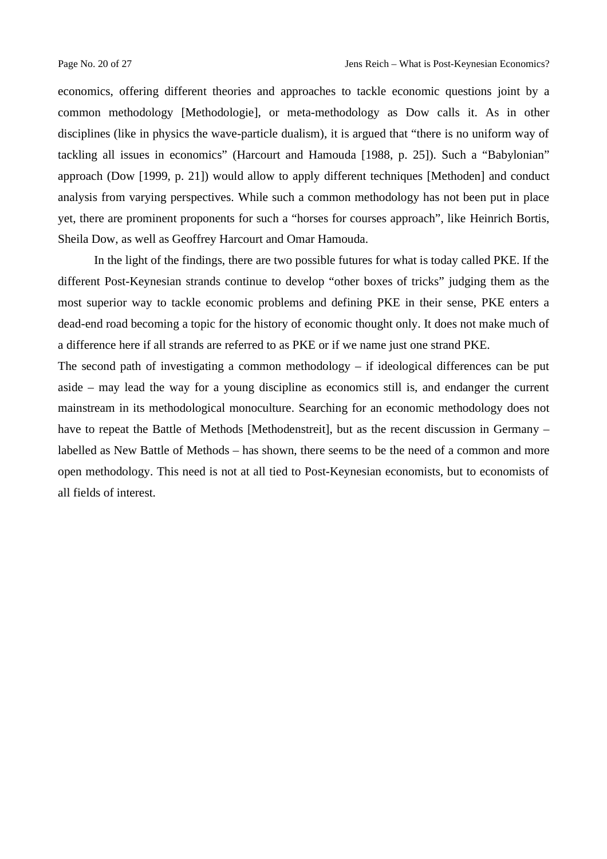economics, offering different theories and approaches to tackle economic questions joint by a common methodology [Methodologie], or meta-methodology as Dow calls it. As in other disciplines (like in physics the wave-particle dualism), it is argued that "there is no uniform way of tackling all issues in economics" (Harcourt and Hamouda [1988, p. 25]). Such a "Babylonian" approach (Dow [1999, p. 21]) would allow to apply different techniques [Methoden] and conduct analysis from varying perspectives. While such a common methodology has not been put in place yet, there are prominent proponents for such a "horses for courses approach", like Heinrich Bortis, Sheila Dow, as well as Geoffrey Harcourt and Omar Hamouda.

In the light of the findings, there are two possible futures for what is today called PKE. If the different Post-Keynesian strands continue to develop "other boxes of tricks" judging them as the most superior way to tackle economic problems and defining PKE in their sense, PKE enters a dead-end road becoming a topic for the history of economic thought only. It does not make much of a difference here if all strands are referred to as PKE or if we name just one strand PKE.

The second path of investigating a common methodology  $-$  if ideological differences can be put aside – may lead the way for a young discipline as economics still is, and endanger the current mainstream in its methodological monoculture. Searching for an economic methodology does not have to repeat the Battle of Methods [Methodenstreit], but as the recent discussion in Germany – labelled as New Battle of Methods – has shown, there seems to be the need of a common and more open methodology. This need is not at all tied to Post-Keynesian economists, but to economists of all fields of interest.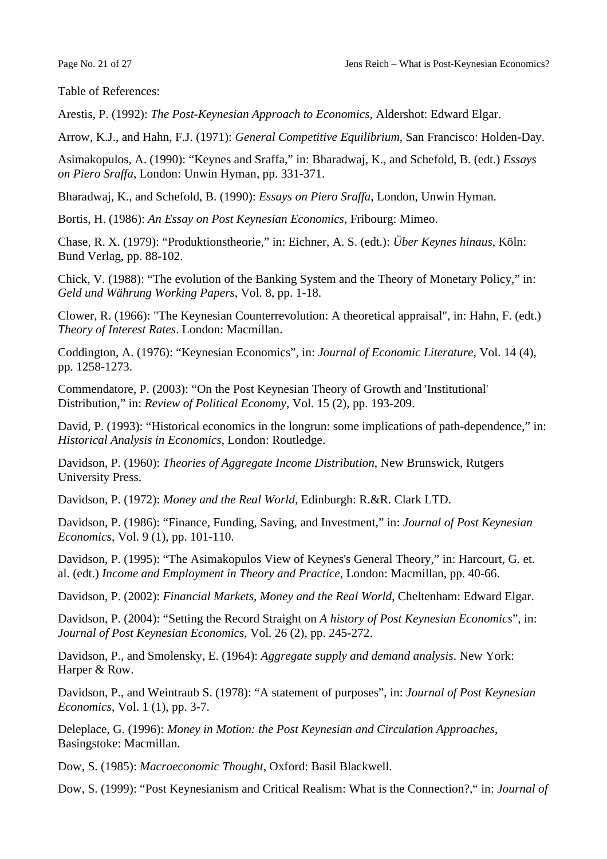Table of References:

Arestis, P. (1992): *The Post-Keynesian Approach to Economics*, Aldershot: Edward Elgar.

Arrow, K.J., and Hahn, F.J. (1971): *General Competitive Equilibrium*, San Francisco: Holden-Day.

Asimakopulos, A. (1990): "Keynes and Sraffa," in: Bharadwaj, K., and Schefold, B. (edt.) *Essays on Piero Sraffa*, London: Unwin Hyman, pp. 331-371.

Bharadwaj, K., and Schefold, B. (1990): *Essays on Piero Sraffa*, London, Unwin Hyman.

Bortis, H. (1986): *An Essay on Post Keynesian Economics*, Fribourg: Mimeo.

Chase, R. X. (1979): "Produktionstheorie," in: Eichner, A. S. (edt.): *Über Keynes hinaus*, Köln: Bund Verlag, pp. 88-102.

Chick, V. (1988): "The evolution of the Banking System and the Theory of Monetary Policy," in: *Geld und Währung Working Papers*, Vol. 8, pp. 1-18.

Clower, R. (1966): "The Keynesian Counterrevolution: A theoretical appraisal", in: Hahn, F. (edt.) *Theory of Interest Rates*. London: Macmillan.

Coddington, A. (1976): "Keynesian Economics", in: *Journal of Economic Literature*, Vol. 14 (4), pp. 1258-1273.

Commendatore, P. (2003): "On the Post Keynesian Theory of Growth and 'Institutional' Distribution," in: *Review of Political Economy*, Vol. 15 (2), pp. 193-209.

David, P. (1993): "Historical economics in the longrun: some implications of path-dependence," in: *Historical Analysis in Economics*, London: Routledge.

Davidson, P. (1960): *Theories of Aggregate Income Distribution*, New Brunswick, Rutgers University Press.

Davidson, P. (1972): *Money and the Real World*, Edinburgh: R.&R. Clark LTD.

Davidson, P. (1986): "Finance, Funding, Saving, and Investment," in: *Journal of Post Keynesian Economics*, Vol. 9 (1), pp. 101-110.

Davidson, P. (1995): "The Asimakopulos View of Keynes's General Theory," in: Harcourt, G. et. al. (edt.) *Income and Employment in Theory and Practice*, London: Macmillan, pp. 40-66.

Davidson, P. (2002): *Financial Markets, Money and the Real World*, Cheltenham: Edward Elgar.

Davidson, P. (2004): "Setting the Record Straight on *A history of Post Keynesian Economics*", in: *Journal of Post Keynesian Economics*, Vol. 26 (2), pp. 245-272.

Davidson, P., and Smolensky, E. (1964): *Aggregate supply and demand analysis*. New York: Harper & Row.

Davidson, P., and Weintraub S. (1978): "A statement of purposes", in: *Journal of Post Keynesian Economics*, Vol. 1 (1), pp. 3-7.

Deleplace, G. (1996): *Money in Motion: the Post Keynesian and Circulation Approaches*, Basingstoke: Macmillan.

Dow, S. (1985): *Macroeconomic Thought*, Oxford: Basil Blackwell.

Dow, S. (1999): "Post Keynesianism and Critical Realism: What is the Connection?," in: *Journal of*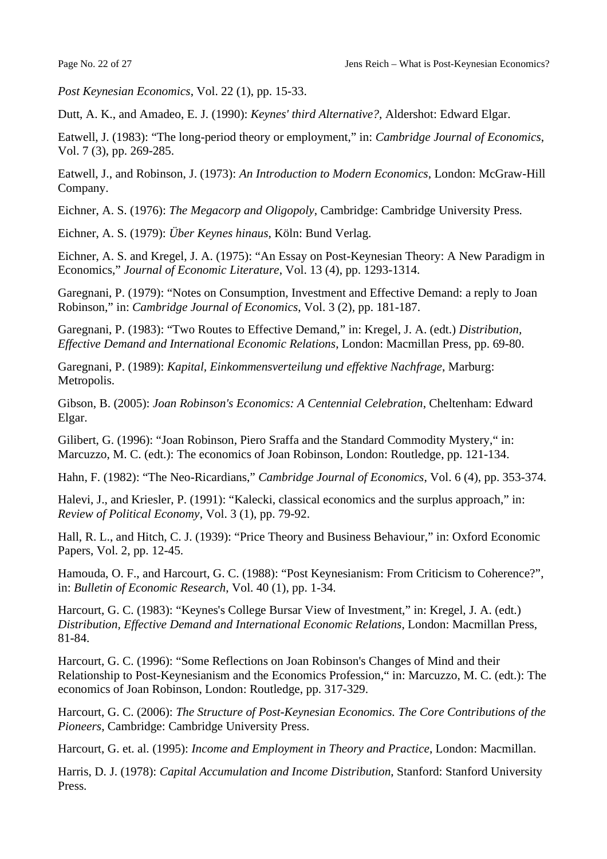*Post Keynesian Economics*, Vol. 22 (1), pp. 15-33.

Dutt, A. K., and Amadeo, E. J. (1990): *Keynes' third Alternative?*, Aldershot: Edward Elgar.

Eatwell, J. (1983): "The long-period theory or employment," in: *Cambridge Journal of Economics*, Vol. 7 (3), pp. 269-285.

Eatwell, J., and Robinson, J. (1973): *An Introduction to Modern Economics*, London: McGraw-Hill Company.

Eichner, A. S. (1976): *The Megacorp and Oligopoly*, Cambridge: Cambridge University Press.

Eichner, A. S. (1979): *Über Keynes hinaus*, Köln: Bund Verlag.

Eichner, A. S. and Kregel, J. A. (1975): "An Essay on Post-Keynesian Theory: A New Paradigm in Economics," *Journal of Economic Literature*, Vol. 13 (4), pp. 1293-1314.

Garegnani, P. (1979): "Notes on Consumption, Investment and Effective Demand: a reply to Joan Robinson," in: *Cambridge Journal of Economics*, Vol. 3 (2), pp. 181-187.

Garegnani, P. (1983): "Two Routes to Effective Demand," in: Kregel, J. A. (edt.) *Distribution, Effective Demand and International Economic Relations*, London: Macmillan Press, pp. 69-80.

Garegnani, P. (1989): *Kapital, Einkommensverteilung und effektive Nachfrage*, Marburg: Metropolis.

Gibson, B. (2005): *Joan Robinson's Economics: A Centennial Celebration*, Cheltenham: Edward Elgar.

Gilibert, G. (1996): "Joan Robinson, Piero Sraffa and the Standard Commodity Mystery," in: Marcuzzo, M. C. (edt.): The economics of Joan Robinson, London: Routledge, pp. 121-134.

Hahn, F. (1982): "The Neo-Ricardians," *Cambridge Journal of Economics*, Vol. 6 (4), pp. 353-374.

Halevi, J., and Kriesler, P. (1991): "Kalecki, classical economics and the surplus approach," in: *Review of Political Economy*, Vol. 3 (1), pp. 79-92.

Hall, R. L., and Hitch, C. J. (1939): "Price Theory and Business Behaviour," in: Oxford Economic Papers, Vol. 2, pp. 12-45.

Hamouda, O. F., and Harcourt, G. C. (1988): "Post Keynesianism: From Criticism to Coherence?", in: *Bulletin of Economic Research*, Vol. 40 (1), pp. 1-34.

Harcourt, G. C. (1983): "Keynes's College Bursar View of Investment," in: Kregel, J. A. (edt.) *Distribution, Effective Demand and International Economic Relations*, London: Macmillan Press, 81-84.

Harcourt, G. C. (1996): "Some Reflections on Joan Robinson's Changes of Mind and their Relationship to Post-Keynesianism and the Economics Profession," in: Marcuzzo, M. C. (edt.): The economics of Joan Robinson, London: Routledge, pp. 317-329.

Harcourt, G. C. (2006): *The Structure of Post-Keynesian Economics. The Core Contributions of the Pioneers*, Cambridge: Cambridge University Press.

Harcourt, G. et. al. (1995): *Income and Employment in Theory and Practice*, London: Macmillan.

Harris, D. J. (1978): *Capital Accumulation and Income Distribution*, Stanford: Stanford University Press.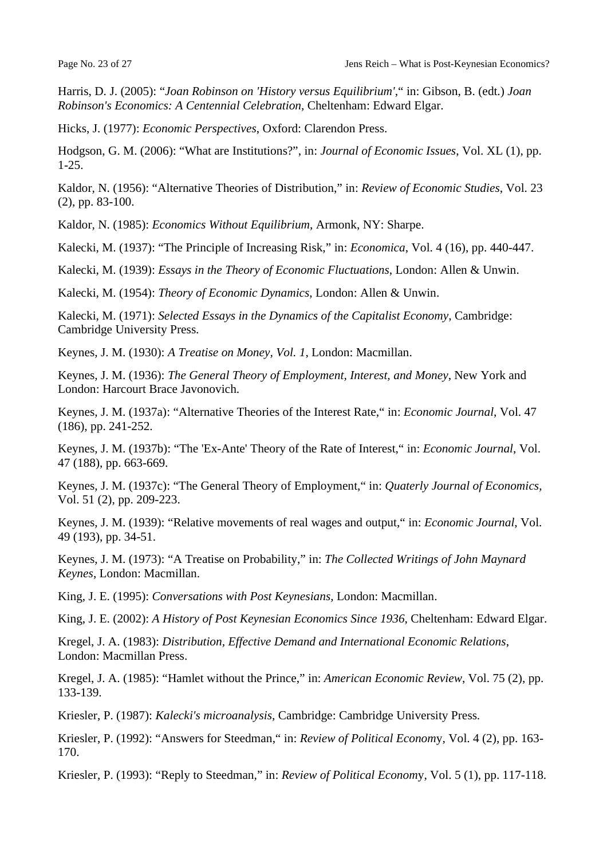Harris, D. J. (2005): "*Joan Robinson on 'History versus Equilibrium'*," in: Gibson, B. (edt.) *Joan Robinson's Economics: A Centennial Celebration*, Cheltenham: Edward Elgar.

Hicks, J. (1977): *Economic Perspectives*, Oxford: Clarendon Press.

Hodgson, G. M. (2006): "What are Institutions?", in: *Journal of Economic Issues*, Vol. XL (1), pp. 1-25.

Kaldor, N. (1956): "Alternative Theories of Distribution," in: *Review of Economic Studies*, Vol. 23 (2), pp. 83-100.

Kaldor, N. (1985): *Economics Without Equilibrium*, Armonk, NY: Sharpe.

Kalecki, M. (1937): "The Principle of Increasing Risk," in: *Economica*, Vol. 4 (16), pp. 440-447.

Kalecki, M. (1939): *Essays in the Theory of Economic Fluctuations*, London: Allen & Unwin.

Kalecki, M. (1954): *Theory of Economic Dynamics*, London: Allen & Unwin.

Kalecki, M. (1971): *Selected Essays in the Dynamics of the Capitalist Economy*, Cambridge: Cambridge University Press.

Keynes, J. M. (1930): *A Treatise on Money, Vol. 1*, London: Macmillan.

Keynes, J. M. (1936): *The General Theory of Employment, Interest, and Money*, New York and London: Harcourt Brace Javonovich.

Keynes, J. M. (1937a): "Alternative Theories of the Interest Rate," in: *Economic Journal*, Vol. 47 (186), pp. 241-252.

Keynes, J. M. (1937b): "The 'Ex-Ante' Theory of the Rate of Interest," in: *Economic Journal*, Vol. 47 (188), pp. 663-669.

Keynes, J. M. (1937c): "The General Theory of Employment," in: *Quaterly Journal of Economics*, Vol. 51 (2), pp. 209-223.

Keynes, J. M. (1939): "Relative movements of real wages and output," in: *Economic Journal*, Vol. 49 (193), pp. 34-51.

Keynes, J. M. (1973): "A Treatise on Probability," in: *The Collected Writings of John Maynard Keynes*, London: Macmillan.

King, J. E. (1995): *Conversations with Post Keynesians*, London: Macmillan.

King, J. E. (2002): *A History of Post Keynesian Economics Since 1936*, Cheltenham: Edward Elgar.

Kregel, J. A. (1983): *Distribution, Effective Demand and International Economic Relations*, London: Macmillan Press.

Kregel, J. A. (1985): "Hamlet without the Prince," in: *American Economic Review*, Vol. 75 (2), pp. 133-139.

Kriesler, P. (1987): *Kalecki's microanalysis*, Cambridge: Cambridge University Press.

Kriesler, P. (1992): "Answers for Steedman," in: *Review of Political Econom*y, Vol. 4 (2), pp. 163- 170.

Kriesler, P. (1993): "Reply to Steedman," in: *Review of Political Econom*y, Vol. 5 (1), pp. 117-118.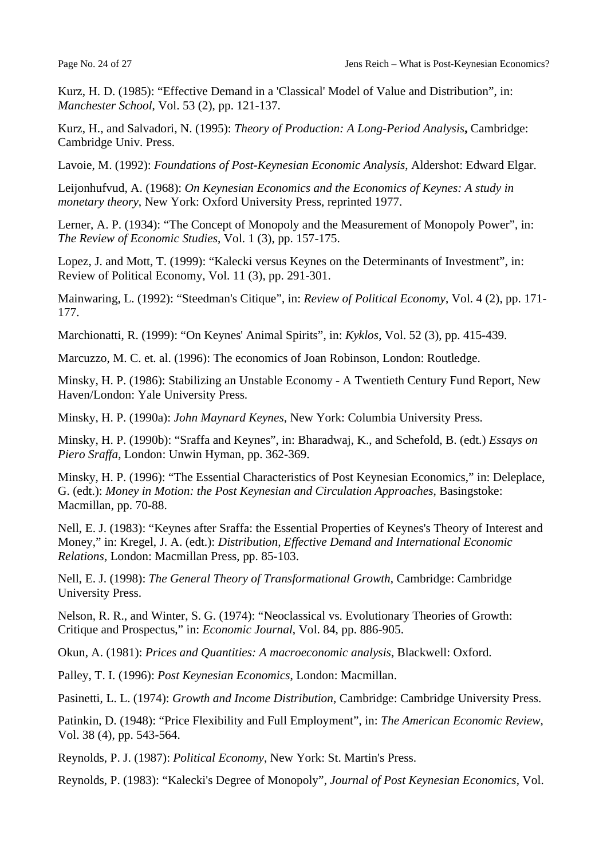Kurz, H. D. (1985): "Effective Demand in a 'Classical' Model of Value and Distribution", in: *Manchester School*, Vol. 53 (2), pp. 121-137.

Kurz, H., and Salvadori, N. (1995): *Theory of Production: A Long-Period Analysis***,** Cambridge: Cambridge Univ. Press.

Lavoie, M. (1992): *Foundations of Post-Keynesian Economic Analysis*, Aldershot: Edward Elgar.

Leijonhufvud, A. (1968): *On Keynesian Economics and the Economics of Keynes: A study in monetary theory*, New York: Oxford University Press, reprinted 1977.

Lerner, A. P. (1934): "The Concept of Monopoly and the Measurement of Monopoly Power", in: *The Review of Economic Studies*, Vol. 1 (3), pp. 157-175.

Lopez, J. and Mott, T. (1999): "Kalecki versus Keynes on the Determinants of Investment", in: Review of Political Economy, Vol. 11 (3), pp. 291-301.

Mainwaring, L. (1992): "Steedman's Citique", in: *Review of Political Economy*, Vol. 4 (2), pp. 171- 177.

Marchionatti, R. (1999): "On Keynes' Animal Spirits", in: *Kyklos*, Vol. 52 (3), pp. 415-439.

Marcuzzo, M. C. et. al. (1996): The economics of Joan Robinson, London: Routledge.

Minsky, H. P. (1986): Stabilizing an Unstable Economy - A Twentieth Century Fund Report, New Haven/London: Yale University Press.

Minsky, H. P. (1990a): *John Maynard Keynes*, New York: Columbia University Press.

Minsky, H. P. (1990b): "Sraffa and Keynes", in: Bharadwaj, K., and Schefold, B. (edt.) *Essays on Piero Sraffa*, London: Unwin Hyman, pp. 362-369.

Minsky, H. P. (1996): "The Essential Characteristics of Post Keynesian Economics," in: Deleplace, G. (edt.): *Money in Motion: the Post Keynesian and Circulation Approaches*, Basingstoke: Macmillan, pp. 70-88.

Nell, E. J. (1983): "Keynes after Sraffa: the Essential Properties of Keynes's Theory of Interest and Money," in: Kregel, J. A. (edt.): *Distribution, Effective Demand and International Economic Relations*, London: Macmillan Press, pp. 85-103.

Nell, E. J. (1998): *The General Theory of Transformational Growth*, Cambridge: Cambridge University Press.

Nelson, R. R., and Winter, S. G. (1974): "Neoclassical vs. Evolutionary Theories of Growth: Critique and Prospectus," in: *Economic Journal*, Vol. 84, pp. 886-905.

Okun, A. (1981): *Prices and Quantities: A macroeconomic analysis*, Blackwell: Oxford.

Palley, T. I. (1996): *Post Keynesian Economics*, London: Macmillan.

Pasinetti, L. L. (1974): *Growth and Income Distribution*, Cambridge: Cambridge University Press.

Patinkin, D. (1948): "Price Flexibility and Full Employment", in: *The American Economic Review*, Vol. 38 (4), pp. 543-564.

Reynolds, P. J. (1987): *Political Economy*, New York: St. Martin's Press.

Reynolds, P. (1983): "Kalecki's Degree of Monopoly", *Journal of Post Keynesian Economics*, Vol.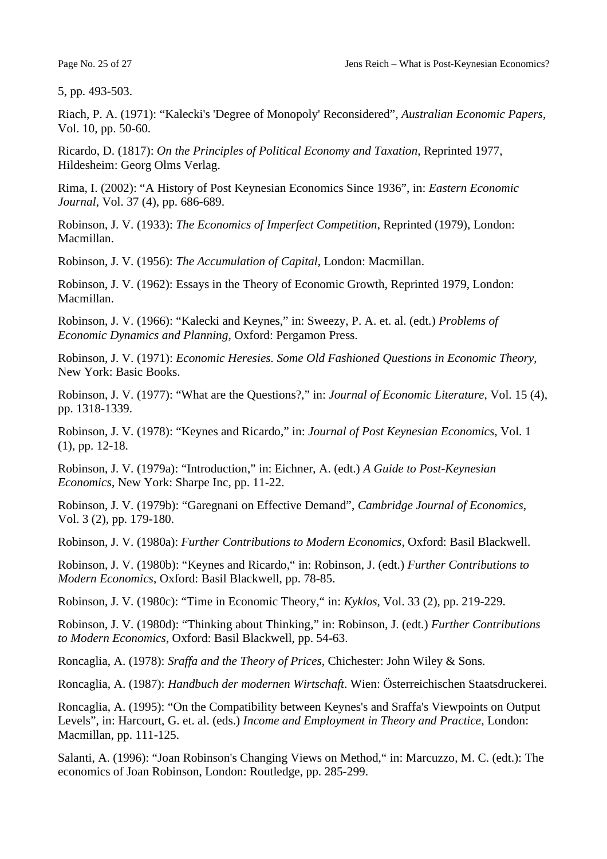5, pp. 493-503.

Riach, P. A. (1971): "Kalecki's 'Degree of Monopoly' Reconsidered", *Australian Economic Papers*, Vol. 10, pp. 50-60.

Ricardo, D. (1817): *On the Principles of Political Economy and Taxation*, Reprinted 1977, Hildesheim: Georg Olms Verlag.

Rima, I. (2002): "A History of Post Keynesian Economics Since 1936", in: *Eastern Economic Journal*, Vol. 37 (4), pp. 686-689.

Robinson, J. V. (1933): *The Economics of Imperfect Competition*, Reprinted (1979), London: Macmillan.

Robinson, J. V. (1956): *The Accumulation of Capital*, London: Macmillan.

Robinson, J. V. (1962): Essays in the Theory of Economic Growth, Reprinted 1979, London: Macmillan.

Robinson, J. V. (1966): "Kalecki and Keynes," in: Sweezy, P. A. et. al. (edt.) *Problems of Economic Dynamics and Planning*, Oxford: Pergamon Press.

Robinson, J. V. (1971): *Economic Heresies. Some Old Fashioned Questions in Economic Theory*, New York: Basic Books.

Robinson, J. V. (1977): "What are the Questions?," in: *Journal of Economic Literature*, Vol. 15 (4), pp. 1318-1339.

Robinson, J. V. (1978): "Keynes and Ricardo," in: *Journal of Post Keynesian Economics*, Vol. 1 (1), pp. 12-18.

Robinson, J. V. (1979a): "Introduction," in: Eichner, A. (edt.) *A Guide to Post-Keynesian Economics*, New York: Sharpe Inc, pp. 11-22.

Robinson, J. V. (1979b): "Garegnani on Effective Demand", *Cambridge Journal of Economics*, Vol. 3 (2), pp. 179-180.

Robinson, J. V. (1980a): *Further Contributions to Modern Economics*, Oxford: Basil Blackwell.

Robinson, J. V. (1980b): "Keynes and Ricardo," in: Robinson, J. (edt.) *Further Contributions to Modern Economics*, Oxford: Basil Blackwell, pp. 78-85.

Robinson, J. V. (1980c): "Time in Economic Theory," in: *Kyklos*, Vol. 33 (2), pp. 219-229.

Robinson, J. V. (1980d): "Thinking about Thinking," in: Robinson, J. (edt.) *Further Contributions to Modern Economics*, Oxford: Basil Blackwell, pp. 54-63.

Roncaglia, A. (1978): *Sraffa and the Theory of Prices*, Chichester: John Wiley & Sons.

Roncaglia, A. (1987): *Handbuch der modernen Wirtschaft*. Wien: Österreichischen Staatsdruckerei.

Roncaglia, A. (1995): "On the Compatibility between Keynes's and Sraffa's Viewpoints on Output Levels", in: Harcourt, G. et. al. (eds.) *Income and Employment in Theory and Practice*, London: Macmillan, pp. 111-125.

Salanti, A. (1996): "Joan Robinson's Changing Views on Method," in: Marcuzzo, M. C. (edt.): The economics of Joan Robinson, London: Routledge, pp. 285-299.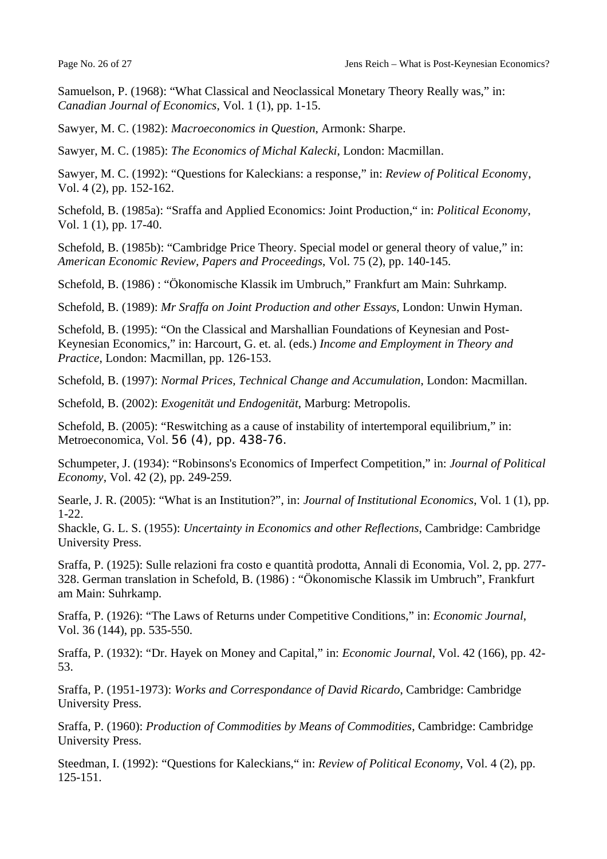Samuelson, P. (1968): "What Classical and Neoclassical Monetary Theory Really was," in: *Canadian Journal of Economics*, Vol. 1 (1), pp. 1-15.

Sawyer, M. C. (1982): *Macroeconomics in Question*, Armonk: Sharpe.

Sawyer, M. C. (1985): *The Economics of Michal Kalecki*, London: Macmillan.

Sawyer, M. C. (1992): "Questions for Kaleckians: a response," in: *Review of Political Econom*y, Vol. 4 (2), pp. 152-162.

Schefold, B. (1985a): "Sraffa and Applied Economics: Joint Production," in: *Political Economy*, Vol. 1 (1), pp. 17-40.

Schefold, B. (1985b): "Cambridge Price Theory. Special model or general theory of value," in: *American Economic Review, Papers and Proceedings*, Vol. 75 (2), pp. 140-145.

Schefold, B. (1986) : "Ökonomische Klassik im Umbruch," Frankfurt am Main: Suhrkamp.

Schefold, B. (1989): *Mr Sraffa on Joint Production and other Essays*, London: Unwin Hyman.

Schefold, B. (1995): "On the Classical and Marshallian Foundations of Keynesian and Post-Keynesian Economics," in: Harcourt, G. et. al. (eds.) *Income and Employment in Theory and Practice*, London: Macmillan, pp. 126-153.

Schefold, B. (1997): *Normal Prices, Technical Change and Accumulation*, London: Macmillan.

Schefold, B. (2002): *Exogenität und Endogenität*, Marburg: Metropolis.

Schefold, B. (2005): "Reswitching as a cause of instability of intertemporal equilibrium," in: Metroeconomica, Vol. 56 (4), pp. 438-76.

Schumpeter, J. (1934): "Robinsons's Economics of Imperfect Competition," in: *Journal of Political Economy*, Vol. 42 (2), pp. 249-259.

Searle, J. R. (2005): "What is an Institution?", in: *Journal of Institutional Economics*, Vol. 1 (1), pp. 1-22.

Shackle, G. L. S. (1955): *Uncertainty in Economics and other Reflections*, Cambridge: Cambridge University Press.

Sraffa, P. (1925): Sulle relazioni fra costo e quantità prodotta, Annali di Economia, Vol. 2, pp. 277- 328. German translation in Schefold, B. (1986) : "Ökonomische Klassik im Umbruch", Frankfurt am Main: Suhrkamp.

Sraffa, P. (1926): "The Laws of Returns under Competitive Conditions," in: *Economic Journal*, Vol. 36 (144), pp. 535-550.

Sraffa, P. (1932): "Dr. Hayek on Money and Capital," in: *Economic Journal*, Vol. 42 (166), pp. 42- 53.

Sraffa, P. (1951-1973): *Works and Correspondance of David Ricardo*, Cambridge: Cambridge University Press.

Sraffa, P. (1960): *Production of Commodities by Means of Commodities*, Cambridge: Cambridge University Press.

Steedman, I. (1992): "Questions for Kaleckians," in: *Review of Political Economy*, Vol. 4 (2), pp. 125-151.